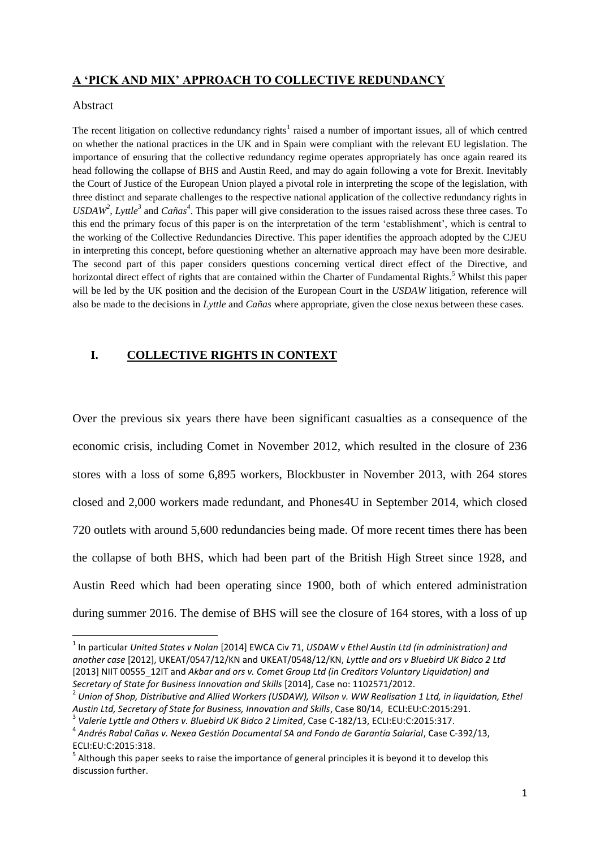### **A 'PICK AND MIX' APPROACH TO COLLECTIVE REDUNDANCY**

#### Abstract

1

The recent litigation on collective redundancy rights<sup>1</sup> raised a number of important issues, all of which centred on whether the national practices in the UK and in Spain were compliant with the relevant EU legislation. The importance of ensuring that the collective redundancy regime operates appropriately has once again reared its head following the collapse of BHS and Austin Reed, and may do again following a vote for Brexit. Inevitably the Court of Justice of the European Union played a pivotal role in interpreting the scope of the legislation, with three distinct and separate challenges to the respective national application of the collective redundancy rights in  $USDAW^2$ , *Lyttle<sup>3</sup>* and *Cañas*<sup>4</sup>. This paper will give consideration to the issues raised across these three cases. To this end the primary focus of this paper is on the interpretation of the term 'establishment', which is central to the working of the Collective Redundancies Directive. This paper identifies the approach adopted by the CJEU in interpreting this concept, before questioning whether an alternative approach may have been more desirable. The second part of this paper considers questions concerning vertical direct effect of the Directive, and horizontal direct effect of rights that are contained within the Charter of Fundamental Rights.<sup>5</sup> Whilst this paper will be led by the UK position and the decision of the European Court in the *USDAW* litigation, reference will also be made to the decisions in *Lyttle* and *Cañas* where appropriate, given the close nexus between these cases.

### **I. COLLECTIVE RIGHTS IN CONTEXT**

Over the previous six years there have been significant casualties as a consequence of the economic crisis, including Comet in November 2012, which resulted in the closure of 236 stores with a loss of some 6,895 workers, Blockbuster in November 2013, with 264 stores closed and 2,000 workers made redundant, and Phones4U in September 2014, which closed 720 outlets with around 5,600 redundancies being made. Of more recent times there has been the collapse of both BHS, which had been part of the British High Street since 1928, and Austin Reed which had been operating since 1900, both of which entered administration during summer 2016. The demise of BHS will see the closure of 164 stores, with a loss of up

<sup>1</sup> In particular *United States v Nolan* [2014] EWCA Civ 71, *USDAW v Ethel Austin Ltd (in administration) and another case* [2012], UKEAT/0547/12/KN and UKEAT/0548/12/KN, *Lyttle and ors v Bluebird UK Bidco 2 Ltd* [2013] NIIT 00555\_12IT and *Akbar and ors v. Comet Group Ltd (in Creditors Voluntary Liquidation) and Secretary of State for Business Innovation and Skills* [2014], Case no: 1102571/2012.

<sup>&</sup>lt;sup>2</sup> Union of Shop, Distributive and Allied Workers (USDAW), Wilson v. WW Realisation 1 Ltd, in liquidation, Ethel *Austin Ltd, Secretary of State for Business, Innovation and Skills*, Case 80/14, ECLI:EU:C:2015:291. 3 *Valerie Lyttle and Others v. Bluebird UK Bidco 2 Limited*, Case C-182/13, ECLI:EU:C:2015:317.

<sup>4</sup> *Andrés Rabal Cañas v. Nexea Gestión Documental SA and Fondo de Garantía Salarial*, Case C-392/13, ECLI:EU:C:2015:318.

<sup>&</sup>lt;sup>5</sup> Although this paper seeks to raise the importance of general principles it is beyond it to develop this discussion further.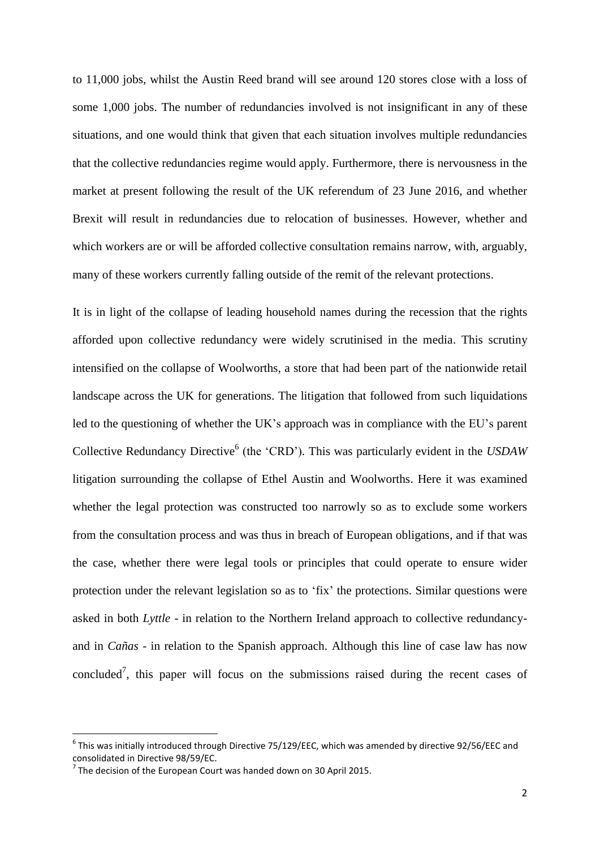to 11,000 jobs, whilst the Austin Reed brand will see around 120 stores close with a loss of some 1,000 jobs. The number of redundancies involved is not insignificant in any of these situations, and one would think that given that each situation involves multiple redundancies that the collective redundancies regime would apply. Furthermore, there is nervousness in the market at present following the result of the UK referendum of 23 June 2016, and whether Brexit will result in redundancies due to relocation of businesses. However, whether and which workers are or will be afforded collective consultation remains narrow, with, arguably, many of these workers currently falling outside of the remit of the relevant protections.

It is in light of the collapse of leading household names during the recession that the rights afforded upon collective redundancy were widely scrutinised in the media. This scrutiny intensified on the collapse of Woolworths, a store that had been part of the nationwide retail landscape across the UK for generations. The litigation that followed from such liquidations led to the questioning of whether the UK's approach was in compliance with the EU's parent Collective Redundancy Directive<sup>6</sup> (the 'CRD'). This was particularly evident in the *USDAW* litigation surrounding the collapse of Ethel Austin and Woolworths. Here it was examined whether the legal protection was constructed too narrowly so as to exclude some workers from the consultation process and was thus in breach of European obligations, and if that was the case, whether there were legal tools or principles that could operate to ensure wider protection under the relevant legislation so as to 'fix' the protections. Similar questions were asked in both *Lyttle* - in relation to the Northern Ireland approach to collective redundancyand in *Cañas* - in relation to the Spanish approach. Although this line of case law has now concluded<sup>7</sup>, this paper will focus on the submissions raised during the recent cases of

 $^6$  This was initially introduced through Directive 75/129/EEC, which was amended by directive 92/56/EEC and consolidated in Directive 98/59/EC.

 $<sup>7</sup>$  The decision of the European Court was handed down on 30 April 2015.</sup>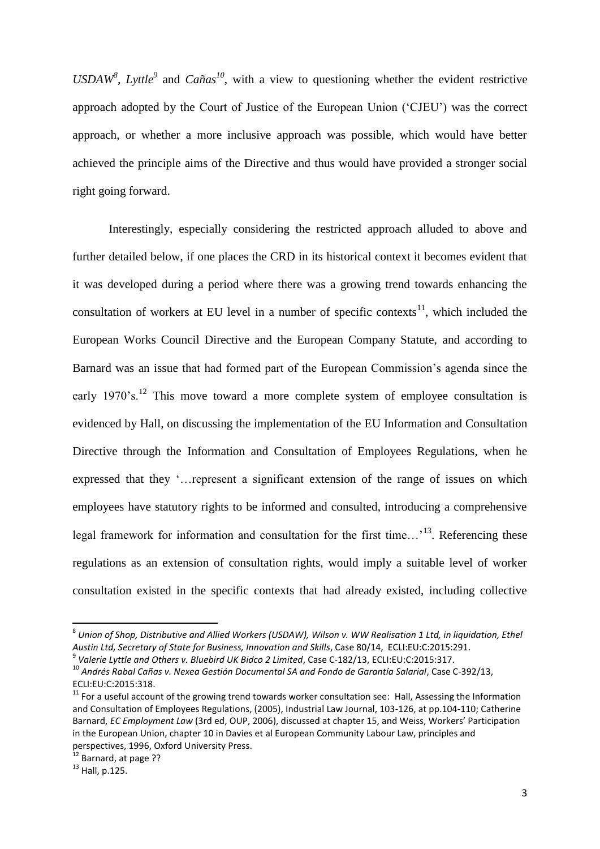*USDAW<sup>8</sup>*, *Lyttle*<sup>9</sup> and *Cañas*<sup>10</sup>, with a view to questioning whether the evident restrictive approach adopted by the Court of Justice of the European Union ('CJEU') was the correct approach, or whether a more inclusive approach was possible, which would have better achieved the principle aims of the Directive and thus would have provided a stronger social right going forward.

Interestingly, especially considering the restricted approach alluded to above and further detailed below, if one places the CRD in its historical context it becomes evident that it was developed during a period where there was a growing trend towards enhancing the consultation of workers at EU level in a number of specific contexts $^{11}$ , which included the European Works Council Directive and the European Company Statute, and according to Barnard was an issue that had formed part of the European Commission's agenda since the early  $1970$ 's.<sup>12</sup> This move toward a more complete system of employee consultation is evidenced by Hall, on discussing the implementation of the EU Information and Consultation Directive through the Information and Consultation of Employees Regulations, when he expressed that they '…represent a significant extension of the range of issues on which employees have statutory rights to be informed and consulted, introducing a comprehensive legal framework for information and consultation for the first time...<sup>13</sup>. Referencing these regulations as an extension of consultation rights, would imply a suitable level of worker consultation existed in the specific contexts that had already existed, including collective

 $\overline{a}$ 

 $^8$  Union of Shop, Distributive and Allied Workers (USDAW), Wilson v. WW Realisation 1 Ltd, in liquidation, Ethel *Austin Ltd, Secretary of State for Business, Innovation and Skills*, Case 80/14, ECLI:EU:C:2015:291.

<sup>9</sup> *Valerie Lyttle and Others v. Bluebird UK Bidco 2 Limited*, Case C-182/13, ECLI:EU:C:2015:317.

<sup>10</sup> *Andrés Rabal Cañas v. Nexea Gestión Documental SA and Fondo de Garantía Salarial*, Case C-392/13, ECLI:EU:C:2015:318.

 $11$  For a useful account of the growing trend towards worker consultation see: Hall, Assessing the Information and Consultation of Employees Regulations, (2005), Industrial Law Journal, 103-126, at pp.104-110; Catherine Barnard, *EC Employment Law* (3rd ed, OUP, 2006), discussed at chapter 15, and Weiss, Workers' Participation in the European Union, chapter 10 in Davies et al European Community Labour Law, principles and perspectives, 1996, Oxford University Press.

<sup>&</sup>lt;sup>12</sup> Barnard, at page ??

 $^{13}$  Hall, p.125.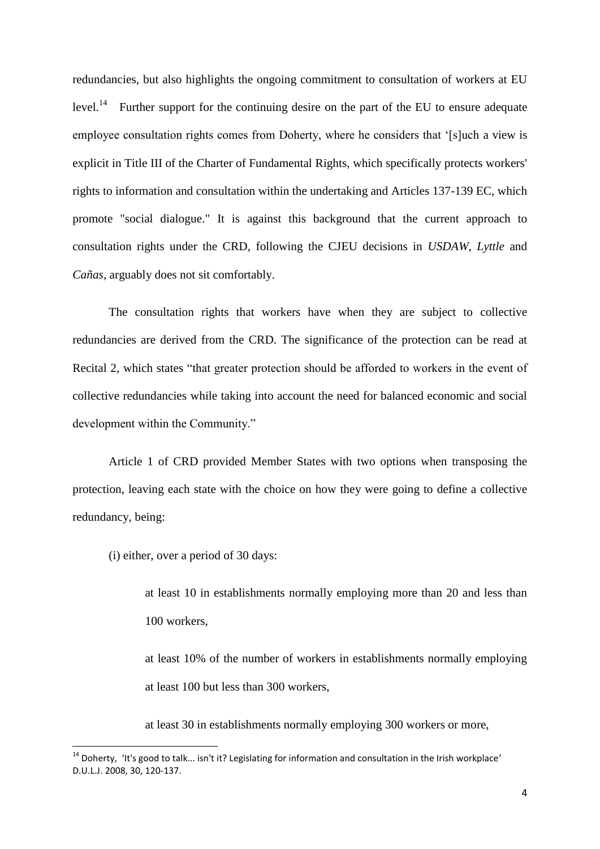redundancies, but also highlights the ongoing commitment to consultation of workers at EU level.<sup>14</sup> Further support for the continuing desire on the part of the EU to ensure adequate employee consultation rights comes from Doherty, where he considers that '[s]uch a view is explicit in Title III of the Charter of Fundamental Rights, which specifically protects workers' rights to information and consultation within the undertaking and Articles 137-139 EC, which promote "social dialogue." It is against this background that the current approach to consultation rights under the CRD, following the CJEU decisions in *USDAW, Lyttle* and *Cañas*, arguably does not sit comfortably.

The consultation rights that workers have when they are subject to collective redundancies are derived from the CRD. The significance of the protection can be read at Recital 2, which states "that greater protection should be afforded to workers in the event of collective redundancies while taking into account the need for balanced economic and social development within the Community."

Article 1 of CRD provided Member States with two options when transposing the protection, leaving each state with the choice on how they were going to define a collective redundancy, being:

(i) either, over a period of 30 days:

1

at least 10 in establishments normally employing more than 20 and less than 100 workers,

at least 10% of the number of workers in establishments normally employing at least 100 but less than 300 workers,

at least 30 in establishments normally employing 300 workers or more,

 $14$  Doherty, 'It's good to talk... isn't it? Legislating for information and consultation in the Irish workplace' D.U.L.J. 2008, 30, 120-137.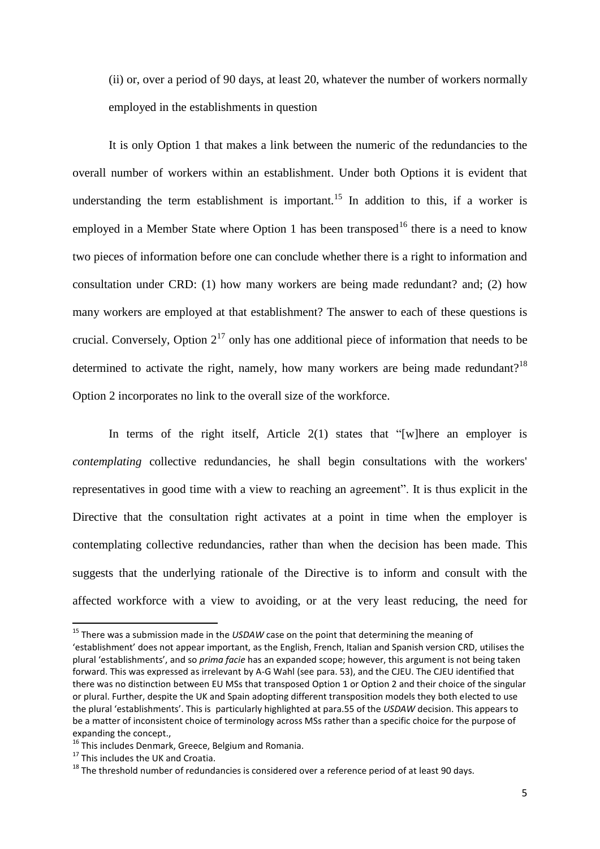(ii) or, over a period of 90 days, at least 20, whatever the number of workers normally employed in the establishments in question

It is only Option 1 that makes a link between the numeric of the redundancies to the overall number of workers within an establishment. Under both Options it is evident that understanding the term establishment is important.<sup>15</sup> In addition to this, if a worker is employed in a Member State where Option 1 has been transposed<sup>16</sup> there is a need to know two pieces of information before one can conclude whether there is a right to information and consultation under CRD: (1) how many workers are being made redundant? and; (2) how many workers are employed at that establishment? The answer to each of these questions is crucial. Conversely, Option  $2^{17}$  only has one additional piece of information that needs to be determined to activate the right, namely, how many workers are being made redundant?<sup>18</sup> Option 2 incorporates no link to the overall size of the workforce.

In terms of the right itself, Article 2(1) states that "[w]here an employer is *contemplating* collective redundancies, he shall begin consultations with the workers' representatives in good time with a view to reaching an agreement". It is thus explicit in the Directive that the consultation right activates at a point in time when the employer is contemplating collective redundancies, rather than when the decision has been made. This suggests that the underlying rationale of the Directive is to inform and consult with the affected workforce with a view to avoiding, or at the very least reducing, the need for

 $\overline{a}$ 

<sup>&</sup>lt;sup>15</sup> There was a submission made in the *USDAW* case on the point that determining the meaning of

<sup>&#</sup>x27;establishment' does not appear important, as the English, French, Italian and Spanish version CRD, utilises the plural 'establishments', and so *prima facie* has an expanded scope; however, this argument is not being taken forward. This was expressed as irrelevant by A-G Wahl (see para. 53), and the CJEU. The CJEU identified that there was no distinction between EU MSs that transposed Option 1 or Option 2 and their choice of the singular or plural. Further, despite the UK and Spain adopting different transposition models they both elected to use the plural 'establishments'. This is particularly highlighted at para.55 of the *USDAW* decision. This appears to be a matter of inconsistent choice of terminology across MSs rather than a specific choice for the purpose of expanding the concept.,

<sup>&</sup>lt;sup>16</sup> This includes Denmark, Greece, Belgium and Romania.

<sup>&</sup>lt;sup>17</sup> This includes the UK and Croatia.

 $18$  The threshold number of redundancies is considered over a reference period of at least 90 days.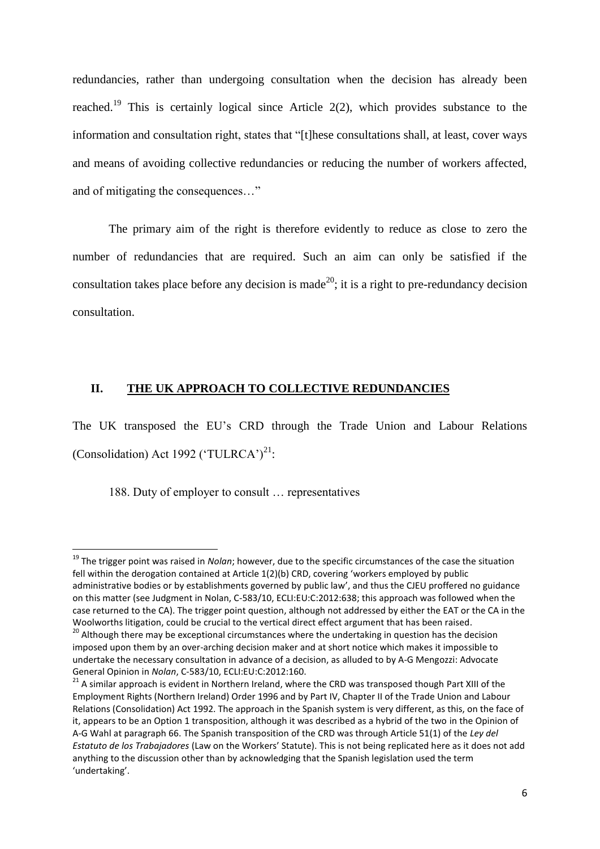redundancies, rather than undergoing consultation when the decision has already been reached.<sup>19</sup> This is certainly logical since Article 2(2), which provides substance to the information and consultation right, states that "[t]hese consultations shall, at least, cover ways and means of avoiding collective redundancies or reducing the number of workers affected, and of mitigating the consequences…"

The primary aim of the right is therefore evidently to reduce as close to zero the number of redundancies that are required. Such an aim can only be satisfied if the consultation takes place before any decision is made<sup>20</sup>; it is a right to pre-redundancy decision consultation.

## **II. THE UK APPROACH TO COLLECTIVE REDUNDANCIES**

The UK transposed the EU's CRD through the Trade Union and Labour Relations (Consolidation) Act 1992 ('TULRCA')<sup>21</sup>:

188. Duty of employer to consult … representatives

<sup>19</sup> The trigger point was raised in *Nolan*; however, due to the specific circumstances of the case the situation fell within the derogation contained at Article 1(2)(b) CRD, covering 'workers employed by public administrative bodies or by establishments governed by public law', and thus the CJEU proffered no guidance on this matter (see Judgment in Nolan, C-583/10, ECLI:EU:C:2012:638; this approach was followed when the case returned to the CA). The trigger point question, although not addressed by either the EAT or the CA in the Woolworths litigation, could be crucial to the vertical direct effect argument that has been raised.

 $20$  Although there may be exceptional circumstances where the undertaking in question has the decision imposed upon them by an over-arching decision maker and at short notice which makes it impossible to undertake the necessary consultation in advance of a decision, as alluded to by A-G Mengozzi: Advocate General Opinion in *Nolan*, C-583/10, ECLI:EU:C:2012:160.

<sup>&</sup>lt;sup>21</sup> A similar approach is evident in Northern Ireland, where the CRD was transposed though Part XIII of the Employment Rights (Northern Ireland) Order 1996 and by Part IV, Chapter II of the Trade Union and Labour Relations (Consolidation) Act 1992. The approach in the Spanish system is very different, as this, on the face of it, appears to be an Option 1 transposition, although it was described as a hybrid of the two in the Opinion of A-G Wahl at paragraph 66. The Spanish transposition of the CRD was through Article 51(1) of the *Ley del Estatuto de los Trabajadores* (Law on the Workers' Statute). This is not being replicated here as it does not add anything to the discussion other than by acknowledging that the Spanish legislation used the term 'undertaking'.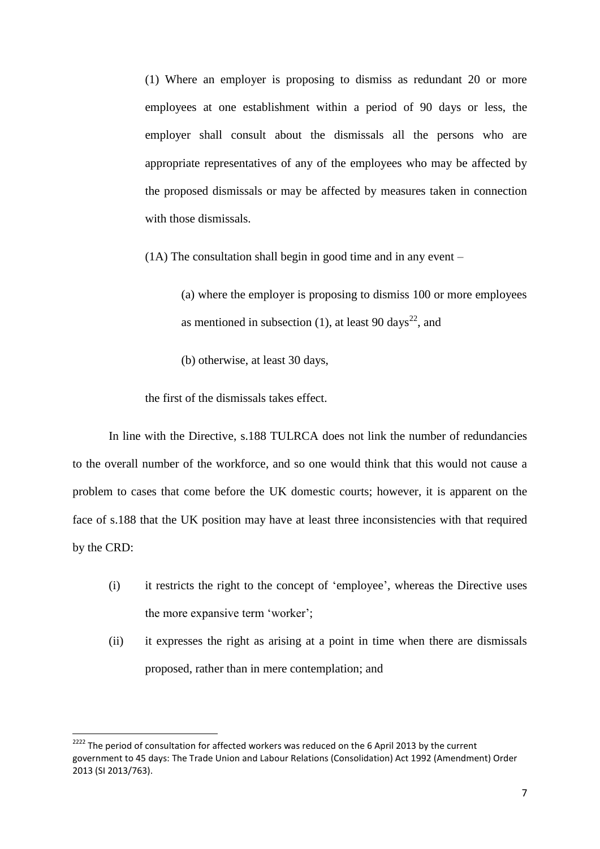(1) Where an employer is proposing to dismiss as redundant 20 or more employees at one establishment within a period of 90 days or less, the employer shall consult about the dismissals all the persons who are appropriate representatives of any of the employees who may be affected by the proposed dismissals or may be affected by measures taken in connection with those dismissals.

(1A) The consultation shall begin in good time and in any event –

(a) where the employer is proposing to dismiss 100 or more employees as mentioned in subsection (1), at least 90 days<sup>22</sup>, and

(b) otherwise, at least 30 days,

the first of the dismissals takes effect.

In line with the Directive, s.188 TULRCA does not link the number of redundancies to the overall number of the workforce, and so one would think that this would not cause a problem to cases that come before the UK domestic courts; however, it is apparent on the face of s.188 that the UK position may have at least three inconsistencies with that required by the CRD:

- (i) it restricts the right to the concept of 'employee', whereas the Directive uses the more expansive term 'worker';
- (ii) it expresses the right as arising at a point in time when there are dismissals proposed, rather than in mere contemplation; and

 $2222$  The period of consultation for affected workers was reduced on the 6 April 2013 by the current government to 45 days: The Trade Union and Labour Relations (Consolidation) Act 1992 (Amendment) Order 2013 (SI 2013/763).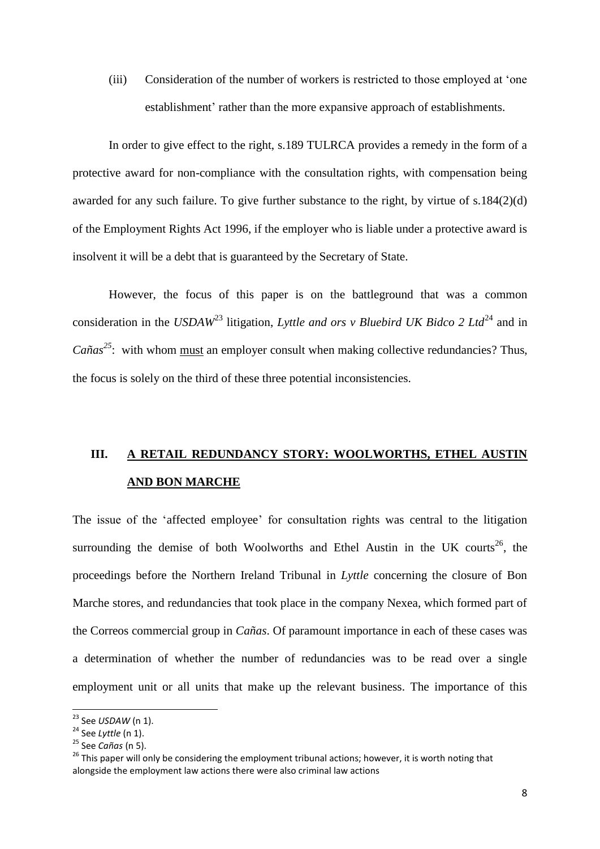(iii) Consideration of the number of workers is restricted to those employed at 'one establishment' rather than the more expansive approach of establishments.

In order to give effect to the right, s.189 TULRCA provides a remedy in the form of a protective award for non-compliance with the consultation rights, with compensation being awarded for any such failure. To give further substance to the right, by virtue of s.184(2)(d) of the Employment Rights Act 1996, if the employer who is liable under a protective award is insolvent it will be a debt that is guaranteed by the Secretary of State.

However, the focus of this paper is on the battleground that was a common consideration in the *USDAW*<sup>23</sup> litigation, *Lyttle and ors v Bluebird UK Bidco 2 Ltd*<sup>24</sup> and in Cañas<sup>25</sup>: with whom must an employer consult when making collective redundancies? Thus, the focus is solely on the third of these three potential inconsistencies.

# **III. A RETAIL REDUNDANCY STORY: WOOLWORTHS, ETHEL AUSTIN AND BON MARCHE**

The issue of the 'affected employee' for consultation rights was central to the litigation surrounding the demise of both Woolworths and Ethel Austin in the UK courts<sup>26</sup>, the proceedings before the Northern Ireland Tribunal in *Lyttle* concerning the closure of Bon Marche stores, and redundancies that took place in the company Nexea, which formed part of the Correos commercial group in *Cañas*. Of paramount importance in each of these cases was a determination of whether the number of redundancies was to be read over a single employment unit or all units that make up the relevant business. The importance of this

 $\overline{a}$ <sup>23</sup> See *USDAW* (n 1).

<sup>24</sup> See *Lyttle* (n 1).

<sup>25</sup> See *Cañas* (n 5).

<sup>&</sup>lt;sup>26</sup> This paper will only be considering the employment tribunal actions; however, it is worth noting that alongside the employment law actions there were also criminal law actions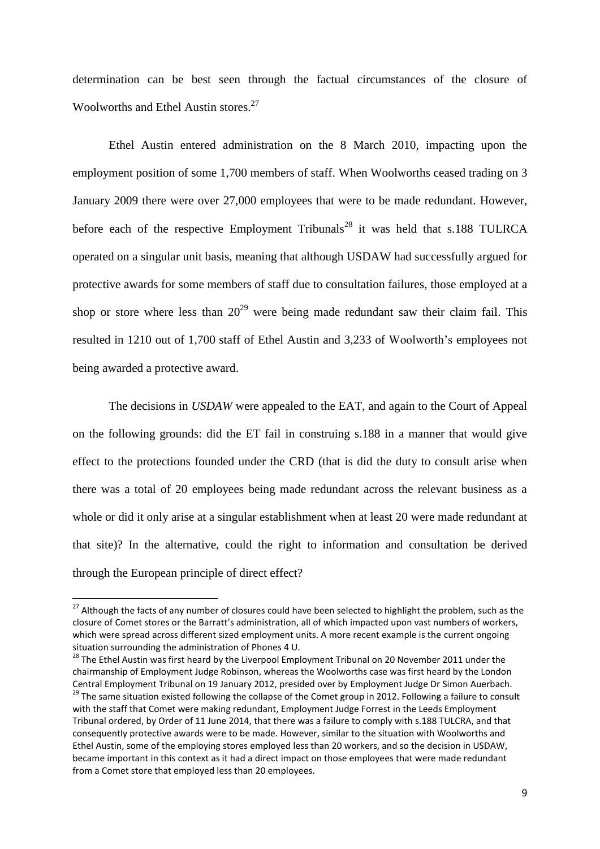determination can be best seen through the factual circumstances of the closure of Woolworths and Ethel Austin stores.<sup>27</sup>

Ethel Austin entered administration on the 8 March 2010, impacting upon the employment position of some 1,700 members of staff. When Woolworths ceased trading on 3 January 2009 there were over 27,000 employees that were to be made redundant. However, before each of the respective Employment Tribunals<sup>28</sup> it was held that s.188 TULRCA operated on a singular unit basis, meaning that although USDAW had successfully argued for protective awards for some members of staff due to consultation failures, those employed at a shop or store where less than  $20^{29}$  were being made redundant saw their claim fail. This resulted in 1210 out of 1,700 staff of Ethel Austin and 3,233 of Woolworth's employees not being awarded a protective award.

The decisions in *USDAW* were appealed to the EAT, and again to the Court of Appeal on the following grounds: did the ET fail in construing s.188 in a manner that would give effect to the protections founded under the CRD (that is did the duty to consult arise when there was a total of 20 employees being made redundant across the relevant business as a whole or did it only arise at a singular establishment when at least 20 were made redundant at that site)? In the alternative, could the right to information and consultation be derived through the European principle of direct effect?

 $\overline{a}$ 

<sup>&</sup>lt;sup>27</sup> Although the facts of any number of closures could have been selected to highlight the problem, such as the closure of Comet stores or the Barratt's administration, all of which impacted upon vast numbers of workers, which were spread across different sized employment units. A more recent example is the current ongoing situation surrounding the administration of Phones 4 U.

<sup>&</sup>lt;sup>28</sup> The Ethel Austin was first heard by the Liverpool Employment Tribunal on 20 November 2011 under the chairmanship of Employment Judge Robinson, whereas the Woolworths case was first heard by the London Central Employment Tribunal on 19 January 2012, presided over by Employment Judge Dr Simon Auerbach.

<sup>&</sup>lt;sup>29</sup> The same situation existed following the collapse of the Comet group in 2012. Following a failure to consult with the staff that Comet were making redundant, Employment Judge Forrest in the Leeds Employment Tribunal ordered, by Order of 11 June 2014, that there was a failure to comply with s.188 TULCRA, and that consequently protective awards were to be made. However, similar to the situation with Woolworths and Ethel Austin, some of the employing stores employed less than 20 workers, and so the decision in USDAW, became important in this context as it had a direct impact on those employees that were made redundant from a Comet store that employed less than 20 employees.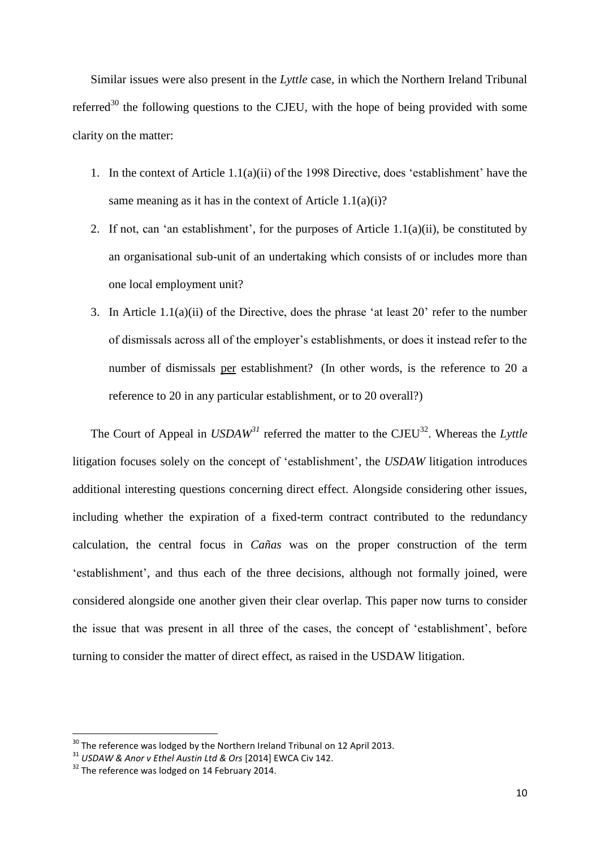Similar issues were also present in the *Lyttle* case, in which the Northern Ireland Tribunal referred<sup>30</sup> the following questions to the CJEU, with the hope of being provided with some clarity on the matter:

- 1. In the context of Article 1.1(a)(ii) of the 1998 Directive, does 'establishment' have the same meaning as it has in the context of Article 1.1(a)(i)?
- 2. If not, can 'an establishment', for the purposes of Article  $1.1(a)(ii)$ , be constituted by an organisational sub-unit of an undertaking which consists of or includes more than one local employment unit?
- 3. In Article 1.1(a)(ii) of the Directive, does the phrase 'at least 20' refer to the number of dismissals across all of the employer's establishments, or does it instead refer to the number of dismissals per establishment? (In other words, is the reference to 20 a reference to 20 in any particular establishment, or to 20 overall?)

The Court of Appeal in *USDAW*<sup>31</sup> referred the matter to the CJEU<sup>32</sup>. Whereas the *Lyttle* litigation focuses solely on the concept of 'establishment', the *USDAW* litigation introduces additional interesting questions concerning direct effect. Alongside considering other issues, including whether the expiration of a fixed-term contract contributed to the redundancy calculation, the central focus in *Cañas* was on the proper construction of the term 'establishment', and thus each of the three decisions, although not formally joined, were considered alongside one another given their clear overlap. This paper now turns to consider the issue that was present in all three of the cases, the concept of 'establishment', before turning to consider the matter of direct effect, as raised in the USDAW litigation.

 $30$  The reference was lodged by the Northern Ireland Tribunal on 12 April 2013.

<sup>31</sup> *USDAW & Anor v Ethel Austin Ltd & Ors* [2014] EWCA Civ 142.

<sup>&</sup>lt;sup>32</sup> The reference was lodged on 14 February 2014.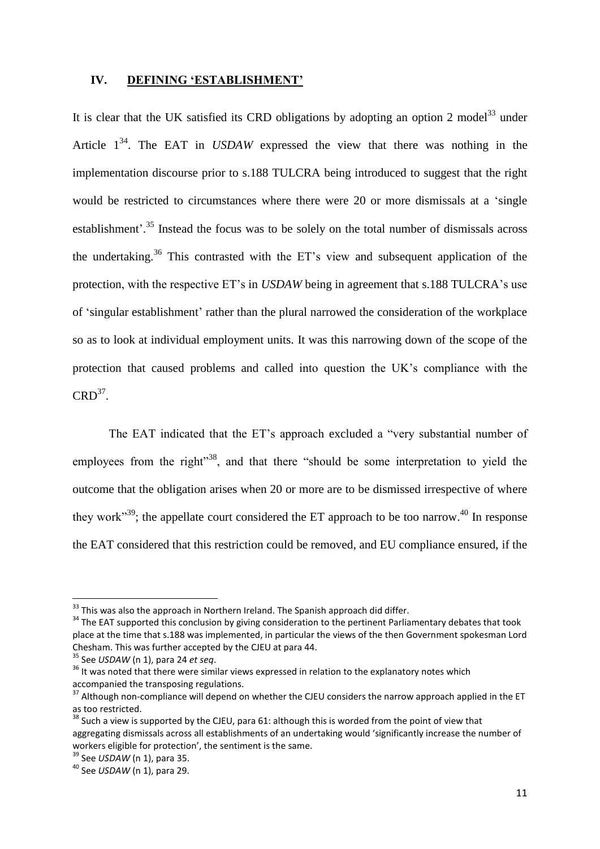#### **IV. DEFINING 'ESTABLISHMENT'**

It is clear that the UK satisfied its CRD obligations by adopting an option 2 model<sup>33</sup> under Article  $1^{34}$ . The EAT in *USDAW* expressed the view that there was nothing in the implementation discourse prior to s.188 TULCRA being introduced to suggest that the right would be restricted to circumstances where there were 20 or more dismissals at a 'single establishment'.<sup>35</sup> Instead the focus was to be solely on the total number of dismissals across the undertaking. <sup>36</sup> This contrasted with the ET's view and subsequent application of the protection, with the respective ET's in *USDAW* being in agreement that s.188 TULCRA's use of 'singular establishment' rather than the plural narrowed the consideration of the workplace so as to look at individual employment units. It was this narrowing down of the scope of the protection that caused problems and called into question the UK's compliance with the  $CRD^{37}$ .

The EAT indicated that the ET's approach excluded a "very substantial number of employees from the right<sup>338</sup>, and that there "should be some interpretation to yield the outcome that the obligation arises when 20 or more are to be dismissed irrespective of where they work"<sup>39</sup>; the appellate court considered the ET approach to be too narrow.<sup>40</sup> In response the EAT considered that this restriction could be removed, and EU compliance ensured, if the

 $\overline{a}$ 

 $33$  This was also the approach in Northern Ireland. The Spanish approach did differ.

<sup>&</sup>lt;sup>34</sup> The EAT supported this conclusion by giving consideration to the pertinent Parliamentary debates that took place at the time that s.188 was implemented, in particular the views of the then Government spokesman Lord Chesham. This was further accepted by the CJEU at para 44.

<sup>35</sup> See *USDAW* (n 1), para 24 *et seq*.

<sup>&</sup>lt;sup>36</sup> It was noted that there were similar views expressed in relation to the explanatory notes which accompanied the transposing regulations.

<sup>&</sup>lt;sup>37</sup> Although non-compliance will depend on whether the CJEU considers the narrow approach applied in the ET as too restricted.

 $38$  Such a view is supported by the CJEU, para 61: although this is worded from the point of view that aggregating dismissals across all establishments of an undertaking would 'significantly increase the number of workers eligible for protection', the sentiment is the same.

<sup>39</sup> See *USDAW* (n 1), para 35.

<sup>40</sup> See *USDAW* (n 1), para 29.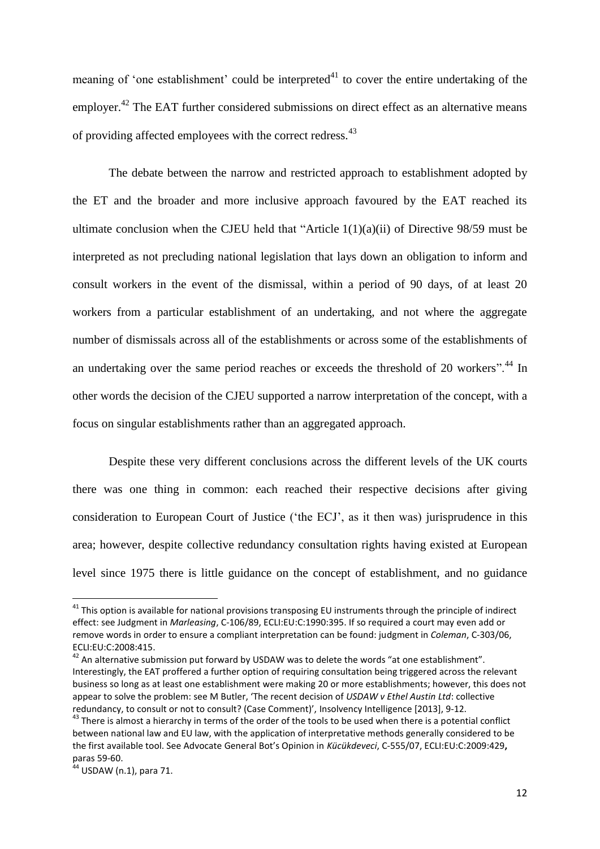meaning of 'one establishment' could be interpreted $^{41}$  to cover the entire undertaking of the employer.<sup>42</sup> The EAT further considered submissions on direct effect as an alternative means of providing affected employees with the correct redress.<sup>43</sup>

The debate between the narrow and restricted approach to establishment adopted by the ET and the broader and more inclusive approach favoured by the EAT reached its ultimate conclusion when the CJEU held that "Article 1(1)(a)(ii) of Directive 98/59 must be interpreted as not precluding national legislation that lays down an obligation to inform and consult workers in the event of the dismissal, within a period of 90 days, of at least 20 workers from a particular establishment of an undertaking, and not where the aggregate number of dismissals across all of the establishments or across some of the establishments of an undertaking over the same period reaches or exceeds the threshold of 20 workers".<sup>44</sup> In other words the decision of the CJEU supported a narrow interpretation of the concept, with a focus on singular establishments rather than an aggregated approach.

Despite these very different conclusions across the different levels of the UK courts there was one thing in common: each reached their respective decisions after giving consideration to European Court of Justice ('the ECJ', as it then was) jurisprudence in this area; however, despite collective redundancy consultation rights having existed at European level since 1975 there is little guidance on the concept of establishment, and no guidance

 $\overline{a}$ 

 $41$  This option is available for national provisions transposing EU instruments through the principle of indirect effect: see Judgment in *Marleasing*, C-106/89, ECLI:EU:C:1990:395. If so required a court may even add or remove words in order to ensure a compliant interpretation can be found: judgment in *Coleman*, C-303/06, ECLI:EU:C:2008:415.

 $42$  An alternative submission put forward by USDAW was to delete the words "at one establishment". Interestingly, the EAT proffered a further option of requiring consultation being triggered across the relevant business so long as at least one establishment were making 20 or more establishments; however, this does not appear to solve the problem: see M Butler, 'The recent decision of *USDAW v Ethel Austin Ltd*: collective redundancy, to consult or not to consult? (Case Comment)', Insolvency Intelligence [2013], 9-12.

 $^{43}$  There is almost a hierarchy in terms of the order of the tools to be used when there is a potential conflict between national law and EU law, with the application of interpretative methods generally considered to be the first available tool. See Advocate General Bot's Opinion in *Kücükdeveci*, C-555/07, ECLI:EU:C:2009:429**,**  paras 59-60.

<sup>44</sup> USDAW (n.1), para 71.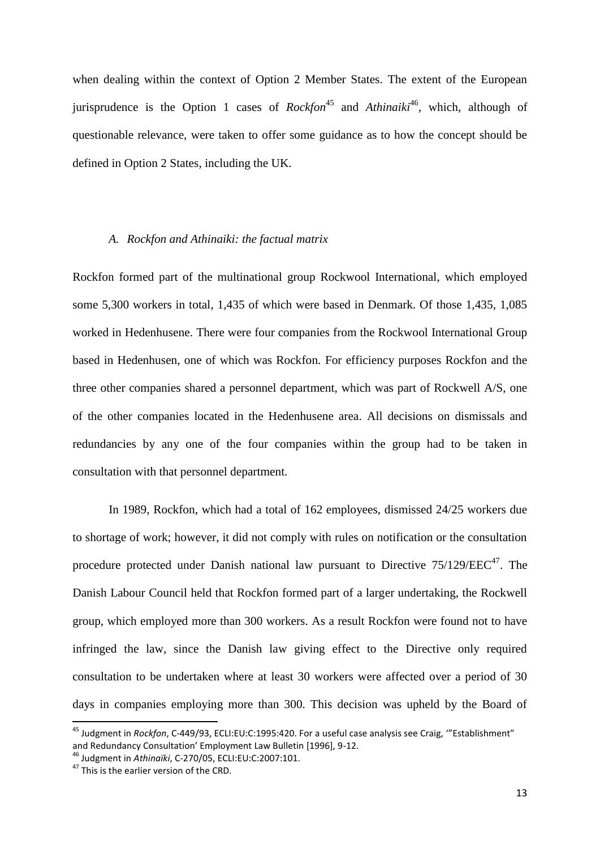when dealing within the context of Option 2 Member States. The extent of the European iurisprudence is the Option 1 cases of  $Rockfon<sup>45</sup>$  and  $Athinaiki<sup>46</sup>$ , which, although of questionable relevance, were taken to offer some guidance as to how the concept should be defined in Option 2 States, including the UK.

### *A. Rockfon and Athinaiki: the factual matrix*

Rockfon formed part of the multinational group Rockwool International, which employed some 5,300 workers in total, 1,435 of which were based in Denmark. Of those 1,435, 1,085 worked in Hedenhusene. There were four companies from the Rockwool International Group based in Hedenhusen, one of which was Rockfon. For efficiency purposes Rockfon and the three other companies shared a personnel department, which was part of Rockwell A/S, one of the other companies located in the Hedenhusene area. All decisions on dismissals and redundancies by any one of the four companies within the group had to be taken in consultation with that personnel department.

In 1989, Rockfon, which had a total of 162 employees, dismissed 24/25 workers due to shortage of work; however, it did not comply with rules on notification or the consultation procedure protected under Danish national law pursuant to Directive  $75/129/EEC^{47}$ . The Danish Labour Council held that Rockfon formed part of a larger undertaking, the Rockwell group, which employed more than 300 workers. As a result Rockfon were found not to have infringed the law, since the Danish law giving effect to the Directive only required consultation to be undertaken where at least 30 workers were affected over a period of 30 days in companies employing more than 300. This decision was upheld by the Board of

<sup>45</sup> Judgment in *Rockfon*, C-449/93, ECLI:EU:C:1995:420. For a useful case analysis see Craig, '"Establishment" and Redundancy Consultation' Employment Law Bulletin [1996], 9-12.

<sup>46</sup> Judgment in *Athinaïki*, C-270/05, ECLI:EU:C:2007:101.

 $47$  This is the earlier version of the CRD.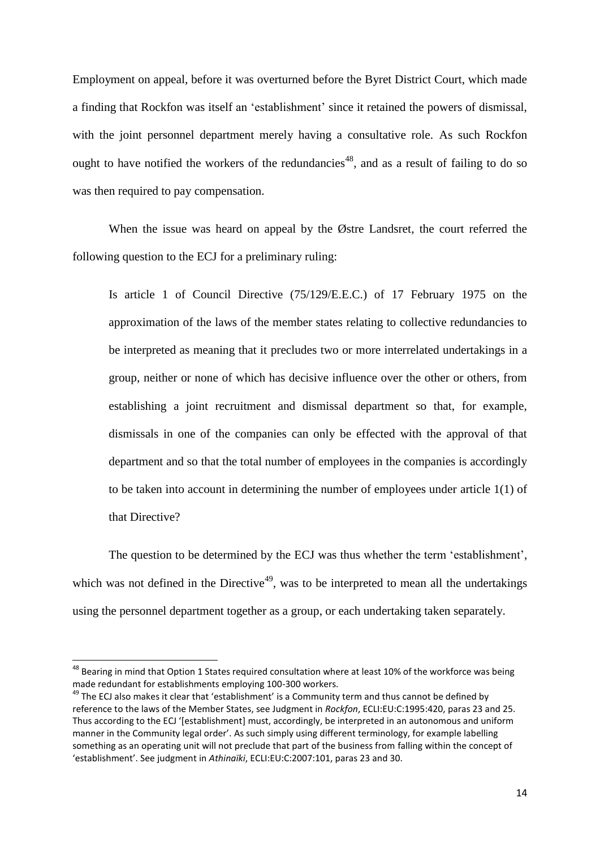Employment on appeal, before it was overturned before the Byret District Court, which made a finding that Rockfon was itself an 'establishment' since it retained the powers of dismissal, with the joint personnel department merely having a consultative role. As such Rockfon ought to have notified the workers of the redundancies<sup>48</sup>, and as a result of failing to do so was then required to pay compensation.

When the issue was heard on appeal by the Østre Landsret, the court referred the following question to the ECJ for a preliminary ruling:

Is article 1 of Council Directive (75/129/E.E.C.) of 17 February 1975 on the approximation of the laws of the member states relating to collective redundancies to be interpreted as meaning that it precludes two or more interrelated undertakings in a group, neither or none of which has decisive influence over the other or others, from establishing a joint recruitment and dismissal department so that, for example, dismissals in one of the companies can only be effected with the approval of that department and so that the total number of employees in the companies is accordingly to be taken into account in determining the number of employees under article 1(1) of that Directive?

The question to be determined by the ECJ was thus whether the term 'establishment', which was not defined in the Directive<sup>49</sup>, was to be interpreted to mean all the undertakings using the personnel department together as a group, or each undertaking taken separately.

 $^{48}$  Bearing in mind that Option 1 States required consultation where at least 10% of the workforce was being made redundant for establishments employing 100-300 workers.

<sup>&</sup>lt;sup>49</sup> The ECJ also makes it clear that 'establishment' is a Community term and thus cannot be defined by reference to the laws of the Member States, see Judgment in *Rockfon*, ECLI:EU:C:1995:420, paras 23 and 25. Thus according to the ECJ '[establishment] must, accordingly, be interpreted in an autonomous and uniform manner in the Community legal order'. As such simply using different terminology, for example labelling something as an operating unit will not preclude that part of the business from falling within the concept of 'establishment'. See judgment in *Athinaïki*, ECLI:EU:C:2007:101, paras 23 and 30.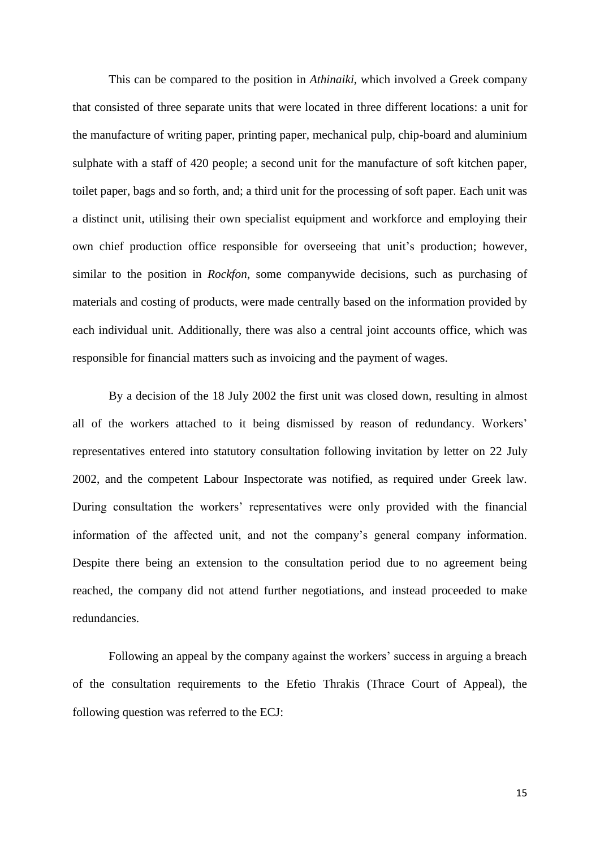This can be compared to the position in *Athinaiki*, which involved a Greek company that consisted of three separate units that were located in three different locations: a unit for the manufacture of writing paper, printing paper, mechanical pulp, chip-board and aluminium sulphate with a staff of 420 people; a second unit for the manufacture of soft kitchen paper, toilet paper, bags and so forth, and; a third unit for the processing of soft paper. Each unit was a distinct unit, utilising their own specialist equipment and workforce and employing their own chief production office responsible for overseeing that unit's production; however, similar to the position in *Rockfon*, some companywide decisions, such as purchasing of materials and costing of products, were made centrally based on the information provided by each individual unit. Additionally, there was also a central joint accounts office, which was responsible for financial matters such as invoicing and the payment of wages.

By a decision of the 18 July 2002 the first unit was closed down, resulting in almost all of the workers attached to it being dismissed by reason of redundancy. Workers' representatives entered into statutory consultation following invitation by letter on 22 July 2002, and the competent Labour Inspectorate was notified, as required under Greek law. During consultation the workers' representatives were only provided with the financial information of the affected unit, and not the company's general company information. Despite there being an extension to the consultation period due to no agreement being reached, the company did not attend further negotiations, and instead proceeded to make redundancies.

Following an appeal by the company against the workers' success in arguing a breach of the consultation requirements to the Efetio Thrakis (Thrace Court of Appeal), the following question was referred to the ECJ: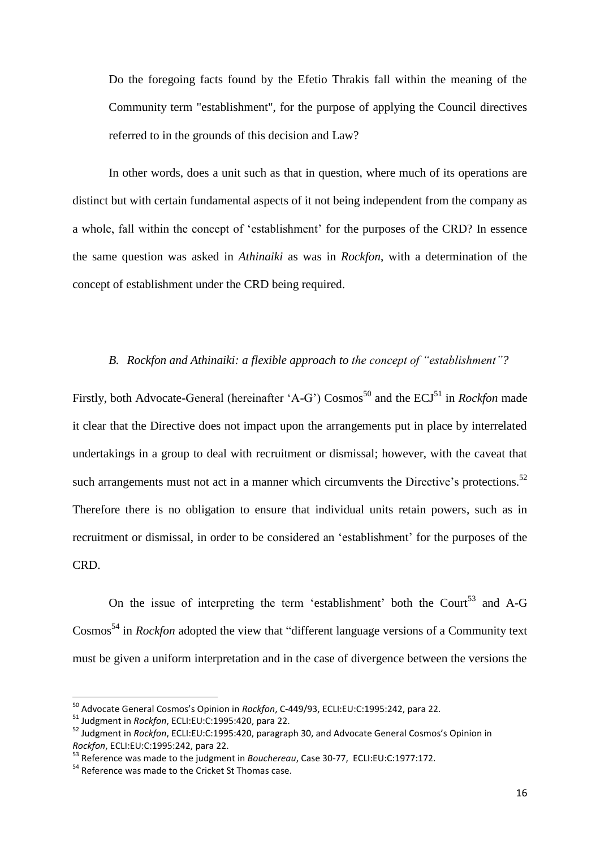Do the foregoing facts found by the Efetio Thrakis fall within the meaning of the Community term "establishment", for the purpose of applying the Council directives referred to in the grounds of this decision and Law?

In other words, does a unit such as that in question, where much of its operations are distinct but with certain fundamental aspects of it not being independent from the company as a whole, fall within the concept of 'establishment' for the purposes of the CRD? In essence the same question was asked in *Athinaiki* as was in *Rockfon*, with a determination of the concept of establishment under the CRD being required.

### *B. Rockfon and Athinaiki: a flexible approach to the concept of "establishment"?*

Firstly, both Advocate-General (hereinafter 'A-G') Cosmos<sup>50</sup> and the ECJ<sup>51</sup> in *Rockfon* made it clear that the Directive does not impact upon the arrangements put in place by interrelated undertakings in a group to deal with recruitment or dismissal; however, with the caveat that such arrangements must not act in a manner which circumvents the Directive's protections.<sup>52</sup> Therefore there is no obligation to ensure that individual units retain powers, such as in recruitment or dismissal, in order to be considered an 'establishment' for the purposes of the CRD.

On the issue of interpreting the term 'establishment' both the Court<sup>53</sup> and A-G Cosmos<sup>54</sup> in *Rockfon* adopted the view that "different language versions of a Community text must be given a uniform interpretation and in the case of divergence between the versions the

<sup>50</sup> Advocate General Cosmos's Opinion in *Rockfon*, C-449/93, ECLI:EU:C:1995:242, para 22.

<sup>51</sup> Judgment in *Rockfon*, ECLI:EU:C:1995:420, para 22.

<sup>52</sup> Judgment in *Rockfon*, ECLI:EU:C:1995:420, paragraph 30, and Advocate General Cosmos's Opinion in *Rockfon*, ECLI:EU:C:1995:242, para 22.

<sup>53</sup> Reference was made to the judgment in *Bouchereau*, Case 30-77, ECLI:EU:C:1977:172.

<sup>&</sup>lt;sup>54</sup> Reference was made to the Cricket St Thomas case.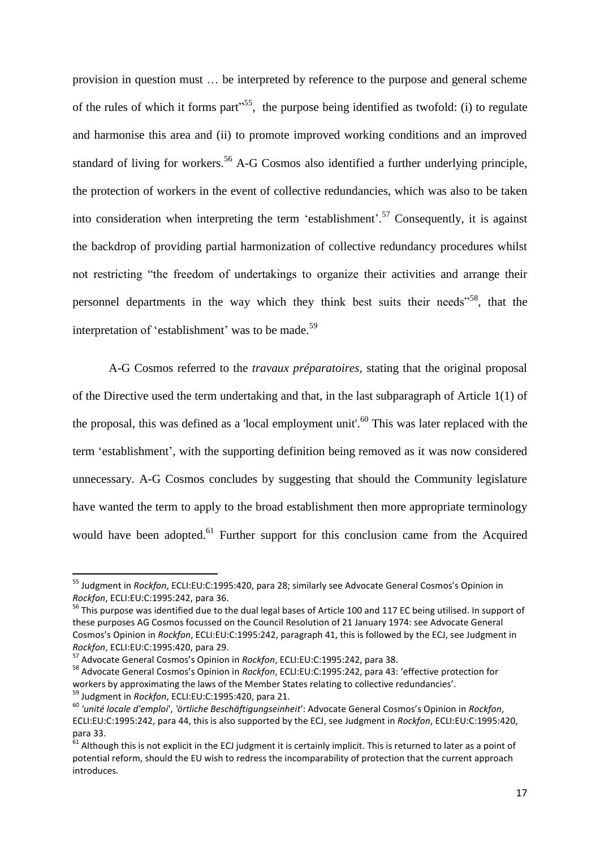provision in question must … be interpreted by reference to the purpose and general scheme of the rules of which it forms part<sup>155</sup>, the purpose being identified as twofold: (i) to regulate and harmonise this area and (ii) to promote improved working conditions and an improved standard of living for workers.<sup>56</sup> A-G Cosmos also identified a further underlying principle, the protection of workers in the event of collective redundancies, which was also to be taken into consideration when interpreting the term 'establishment'.<sup>57</sup> Consequently, it is against the backdrop of providing partial harmonization of collective redundancy procedures whilst not restricting "the freedom of undertakings to organize their activities and arrange their personnel departments in the way which they think best suits their needs<sup>558</sup>, that the interpretation of 'establishment' was to be made.<sup>59</sup>

A-G Cosmos referred to the *travaux préparatoires,* stating that the original proposal of the Directive used the term undertaking and that, in the last subparagraph of Article 1(1) of the proposal, this was defined as a 'local employment unit'.<sup>60</sup> This was later replaced with the term 'establishment', with the supporting definition being removed as it was now considered unnecessary. A-G Cosmos concludes by suggesting that should the Community legislature have wanted the term to apply to the broad establishment then more appropriate terminology would have been adopted.<sup>61</sup> Further support for this conclusion came from the Acquired

<sup>55</sup> Judgment in *Rockfon*, ECLI:EU:C:1995:420, para 28; similarly see Advocate General Cosmos's Opinion in *Rockfon*, ECLI:EU:C:1995:242, para 36.

<sup>&</sup>lt;sup>56</sup> This purpose was identified due to the dual legal bases of Article 100 and 117 EC being utilised. In support of these purposes AG Cosmos focussed on the Council Resolution of 21 January 1974: see Advocate General Cosmos's Opinion in *Rockfon*, ECLI:EU:C:1995:242, paragraph 41, this is followed by the ECJ, see Judgment in *Rockfon*, ECLI:EU:C:1995:420, para 29.

<sup>57</sup> Advocate General Cosmos's Opinion in *Rockfon*, ECLI:EU:C:1995:242, para 38.

<sup>58</sup> Advocate General Cosmos's Opinion in *Rockfon*, ECLI:EU:C:1995:242, para 43: 'effective protection for workers by approximating the laws of the Member States relating to collective redundancies'. <sup>59</sup> Judgment in *Rockfon*, ECLI:EU:C:1995:420, para 21.

<sup>60</sup> *'unité locale d'emploi*', *'örtliche Beschäftigungseinheit*': Advocate General Cosmos's Opinion in *Rockfon*, ECLI:EU:C:1995:242, para 44, this is also supported by the ECJ, see Judgment in *Rockfon*, ECLI:EU:C:1995:420, para 33.

 $61$  Although this is not explicit in the ECJ judgment it is certainly implicit. This is returned to later as a point of potential reform, should the EU wish to redress the incomparability of protection that the current approach introduces.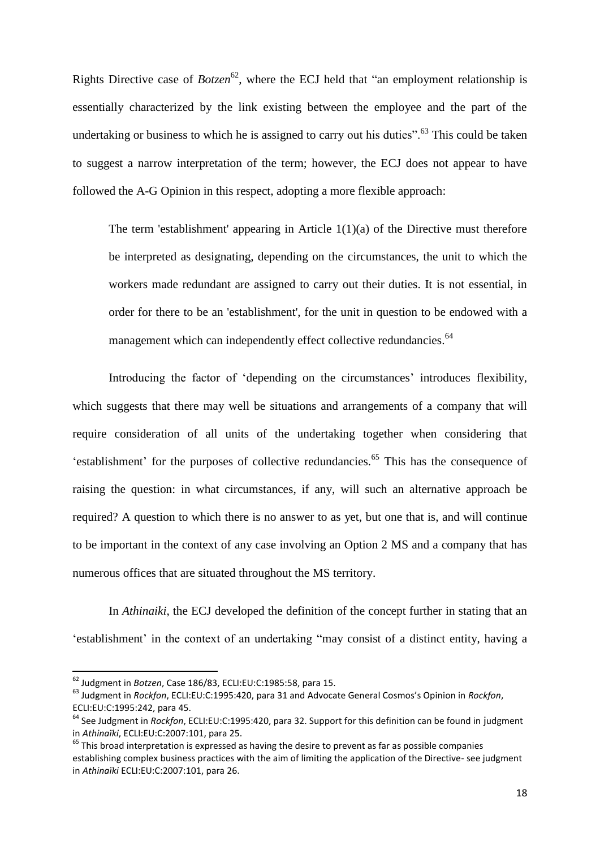Rights Directive case of  $Botzen^6$ <sup>2</sup>, where the ECJ held that "an employment relationship is essentially characterized by the link existing between the employee and the part of the undertaking or business to which he is assigned to carry out his duties".<sup>63</sup> This could be taken to suggest a narrow interpretation of the term; however, the ECJ does not appear to have followed the A-G Opinion in this respect, adopting a more flexible approach:

The term 'establishment' appearing in Article 1(1)(a) of the Directive must therefore be interpreted as designating, depending on the circumstances, the unit to which the workers made redundant are assigned to carry out their duties. It is not essential, in order for there to be an 'establishment', for the unit in question to be endowed with a management which can independently effect collective redundancies.<sup>64</sup>

Introducing the factor of 'depending on the circumstances' introduces flexibility, which suggests that there may well be situations and arrangements of a company that will require consideration of all units of the undertaking together when considering that 'establishment' for the purposes of collective redundancies.<sup>65</sup> This has the consequence of raising the question: in what circumstances, if any, will such an alternative approach be required? A question to which there is no answer to as yet, but one that is, and will continue to be important in the context of any case involving an Option 2 MS and a company that has numerous offices that are situated throughout the MS territory.

In *Athinaiki*, the ECJ developed the definition of the concept further in stating that an 'establishment' in the context of an undertaking "may consist of a distinct entity, having a

<sup>62</sup> Judgment in *Botzen*, Case 186/83, ECLI:EU:C:1985:58, para 15.

<sup>63</sup> Judgment in *Rockfon*, ECLI:EU:C:1995:420, para 31 and Advocate General Cosmos's Opinion in *Rockfon*, ECLI:EU:C:1995:242, para 45.

<sup>64</sup> See Judgment in *Rockfon*, ECLI:EU:C:1995:420, para 32. Support for this definition can be found in judgment in *Athinaïki*, ECLI:EU:C:2007:101, para 25.

 $65$  This broad interpretation is expressed as having the desire to prevent as far as possible companies establishing complex business practices with the aim of limiting the application of the Directive- see judgment in *Athinaïki* ECLI:EU:C:2007:101, para 26.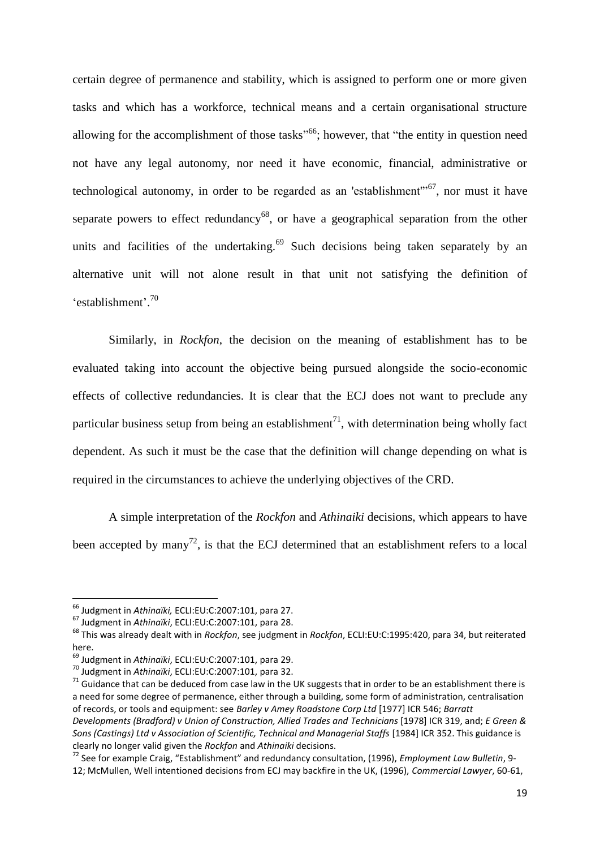certain degree of permanence and stability, which is assigned to perform one or more given tasks and which has a workforce, technical means and a certain organisational structure allowing for the accomplishment of those tasks<sup>"66</sup>; however, that "the entity in question need not have any legal autonomy, nor need it have economic, financial, administrative or technological autonomy, in order to be regarded as an 'establishment'<sup>567</sup>, nor must it have separate powers to effect redundancy<sup>68</sup>, or have a geographical separation from the other units and facilities of the undertaking.<sup>69</sup> Such decisions being taken separately by an alternative unit will not alone result in that unit not satisfying the definition of 'establishment'. 70

Similarly, in *Rockfon*, the decision on the meaning of establishment has to be evaluated taking into account the objective being pursued alongside the socio-economic effects of collective redundancies. It is clear that the ECJ does not want to preclude any particular business setup from being an establishment<sup>71</sup>, with determination being wholly fact dependent. As such it must be the case that the definition will change depending on what is required in the circumstances to achieve the underlying objectives of the CRD.

A simple interpretation of the *Rockfon* and *Athinaiki* decisions, which appears to have been accepted by many<sup>72</sup>, is that the ECJ determined that an establishment refers to a local

 $\overline{a}$ 

<sup>66</sup> Judgment in *Athinaïki,* ECLI:EU:C:2007:101, para 27.

<sup>67</sup> Judgment in *Athinaïki*, ECLI:EU:C:2007:101, para 28.

<sup>68</sup> This was already dealt with in *Rockfon*, see judgment in *Rockfon*, ECLI:EU:C:1995:420, para 34, but reiterated here.

<sup>69</sup> Judgment in *Athinaïki*, ECLI:EU:C:2007:101, para 29.

<sup>70</sup> Judgment in *Athinaïki*, ECLI:EU:C:2007:101, para 32.

 $71$  Guidance that can be deduced from case law in the UK suggests that in order to be an establishment there is a need for some degree of permanence, either through a building, some form of administration, centralisation of records, or tools and equipment: see *Barley v Amey Roadstone Corp Ltd* [1977] ICR 546; *Barratt Developments (Bradford) v Union of Construction, Allied Trades and Technicians* [1978] ICR 319, and; *E Green & Sons (Castings) Ltd v Association of Scientific, Technical and Managerial Staffs* [1984] ICR 352. This guidance is clearly no longer valid given the *Rockfon* and *Athinaiki* decisions.

<sup>72</sup> See for example Craig, "Establishment" and redundancy consultation, (1996), *Employment Law Bulletin*, 9- 12; McMullen, Well intentioned decisions from ECJ may backfire in the UK, (1996), *Commercial Lawyer*, 60-61,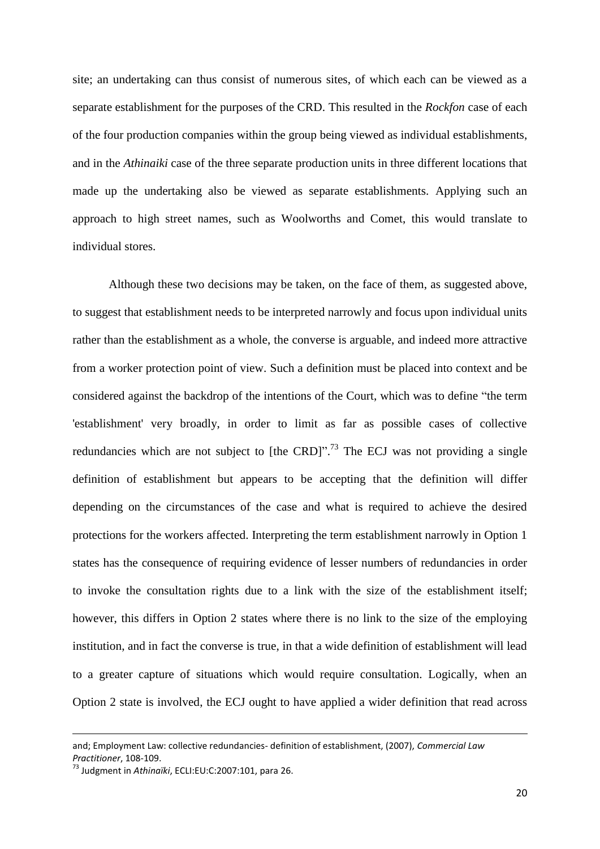site; an undertaking can thus consist of numerous sites, of which each can be viewed as a separate establishment for the purposes of the CRD. This resulted in the *Rockfon* case of each of the four production companies within the group being viewed as individual establishments, and in the *Athinaiki* case of the three separate production units in three different locations that made up the undertaking also be viewed as separate establishments. Applying such an approach to high street names, such as Woolworths and Comet, this would translate to individual stores.

Although these two decisions may be taken, on the face of them, as suggested above, to suggest that establishment needs to be interpreted narrowly and focus upon individual units rather than the establishment as a whole, the converse is arguable, and indeed more attractive from a worker protection point of view. Such a definition must be placed into context and be considered against the backdrop of the intentions of the Court, which was to define "the term 'establishment' very broadly, in order to limit as far as possible cases of collective redundancies which are not subject to [the CRD]".<sup>73</sup> The ECJ was not providing a single definition of establishment but appears to be accepting that the definition will differ depending on the circumstances of the case and what is required to achieve the desired protections for the workers affected. Interpreting the term establishment narrowly in Option 1 states has the consequence of requiring evidence of lesser numbers of redundancies in order to invoke the consultation rights due to a link with the size of the establishment itself; however, this differs in Option 2 states where there is no link to the size of the employing institution, and in fact the converse is true, in that a wide definition of establishment will lead to a greater capture of situations which would require consultation. Logically, when an Option 2 state is involved, the ECJ ought to have applied a wider definition that read across

and; Employment Law: collective redundancies- definition of establishment, (2007), *Commercial Law Practitioner*, 108-109.

<sup>73</sup> Judgment in *Athinaïki*, ECLI:EU:C:2007:101, para 26.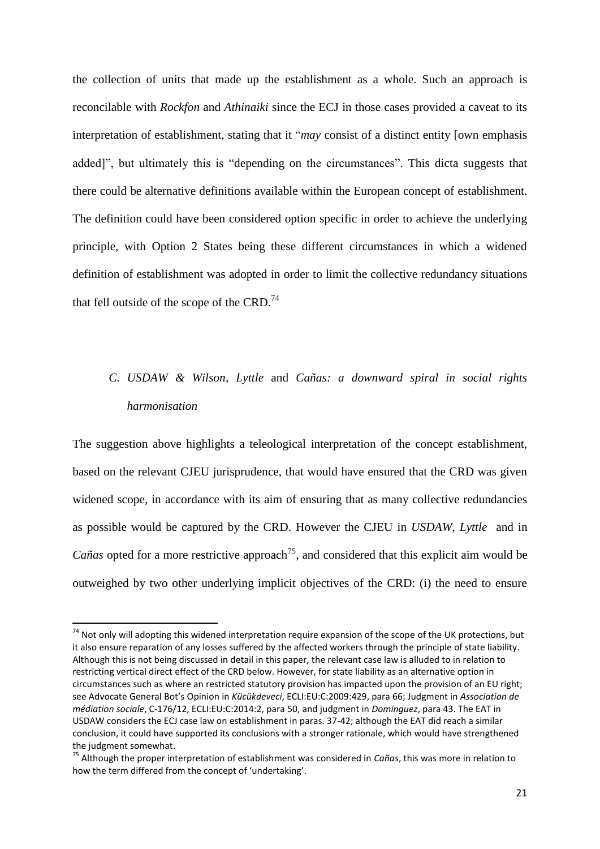the collection of units that made up the establishment as a whole. Such an approach is reconcilable with *Rockfon* and *Athinaiki* since the ECJ in those cases provided a caveat to its interpretation of establishment, stating that it "*may* consist of a distinct entity [own emphasis added]", but ultimately this is "depending on the circumstances". This dicta suggests that there could be alternative definitions available within the European concept of establishment. The definition could have been considered option specific in order to achieve the underlying principle, with Option 2 States being these different circumstances in which a widened definition of establishment was adopted in order to limit the collective redundancy situations that fell outside of the scope of the CRD.<sup>74</sup>

# *C. USDAW & Wilson*, *Lyttle* and *Cañas: a downward spiral in social rights harmonisation*

The suggestion above highlights a teleological interpretation of the concept establishment, based on the relevant CJEU jurisprudence, that would have ensured that the CRD was given widened scope, in accordance with its aim of ensuring that as many collective redundancies as possible would be captured by the CRD. However the CJEU in *USDAW*, *Lyttle* and in *Cañas* opted for a more restrictive approach<sup>75</sup>, and considered that this explicit aim would be outweighed by two other underlying implicit objectives of the CRD: (i) the need to ensure

 $\overline{a}$ 

<sup>&</sup>lt;sup>74</sup> Not only will adopting this widened interpretation require expansion of the scope of the UK protections, but it also ensure reparation of any losses suffered by the affected workers through the principle of state liability. Although this is not being discussed in detail in this paper, the relevant case law is alluded to in relation to restricting vertical direct effect of the CRD below. However, for state liability as an alternative option in circumstances such as where an restricted statutory provision has impacted upon the provision of an EU right; see Advocate General Bot's Opinion in *Kücükdeveci*, ECLI:EU:C:2009:429, para 66; Judgment in *Association de médiation sociale*, C-176/12, ECLI:EU:C:2014:2, para 50, and judgment in *Dominguez*, para 43. The EAT in USDAW considers the ECJ case law on establishment in paras. 37-42; although the EAT did reach a similar conclusion, it could have supported its conclusions with a stronger rationale, which would have strengthened the judgment somewhat.

<sup>75</sup> Although the proper interpretation of establishment was considered in *Cañas*, this was more in relation to how the term differed from the concept of 'undertaking'.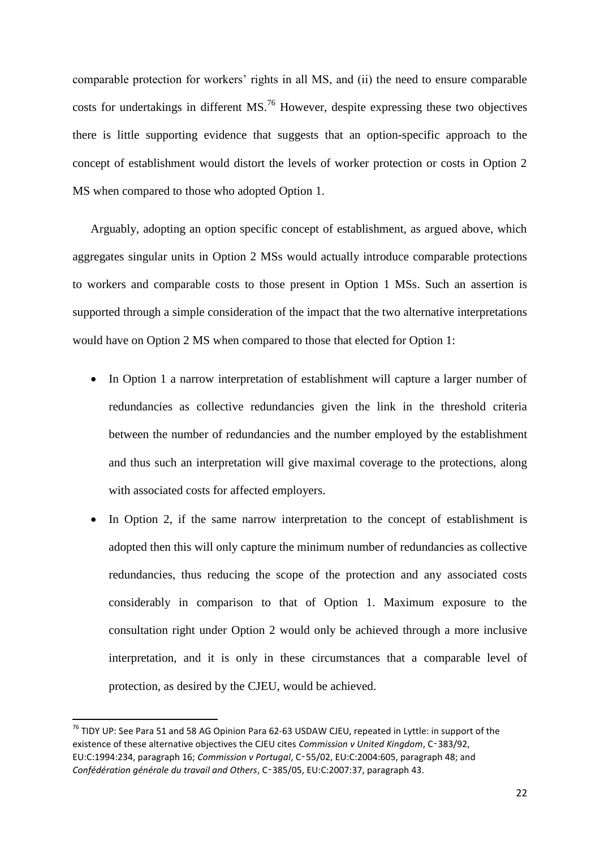comparable protection for workers' rights in all MS, and (ii) the need to ensure comparable costs for undertakings in different  $MS<sup>76</sup>$  However, despite expressing these two objectives there is little supporting evidence that suggests that an option-specific approach to the concept of establishment would distort the levels of worker protection or costs in Option 2 MS when compared to those who adopted Option 1.

Arguably, adopting an option specific concept of establishment, as argued above, which aggregates singular units in Option 2 MSs would actually introduce comparable protections to workers and comparable costs to those present in Option 1 MSs. Such an assertion is supported through a simple consideration of the impact that the two alternative interpretations would have on Option 2 MS when compared to those that elected for Option 1:

- In Option 1 a narrow interpretation of establishment will capture a larger number of redundancies as collective redundancies given the link in the threshold criteria between the number of redundancies and the number employed by the establishment and thus such an interpretation will give maximal coverage to the protections, along with associated costs for affected employers.
- In Option 2, if the same narrow interpretation to the concept of establishment is adopted then this will only capture the minimum number of redundancies as collective redundancies, thus reducing the scope of the protection and any associated costs considerably in comparison to that of Option 1. Maximum exposure to the consultation right under Option 2 would only be achieved through a more inclusive interpretation, and it is only in these circumstances that a comparable level of protection, as desired by the CJEU, would be achieved.

 $^{76}$  TIDY UP: See Para 51 and 58 AG Opinion Para 62-63 USDAW CJEU, repeated in Lyttle: in support of the existence of these alternative objectives the CJEU cites *Commission v United Kingdom*, C‑383/92, EU:C:1994:234, paragraph 16; *Commission v Portugal*, C‑55/02, EU:C:2004:605, paragraph 48; and *Confédération générale du travail and Others*, C‑385/05, EU:C:2007:37, paragraph 43.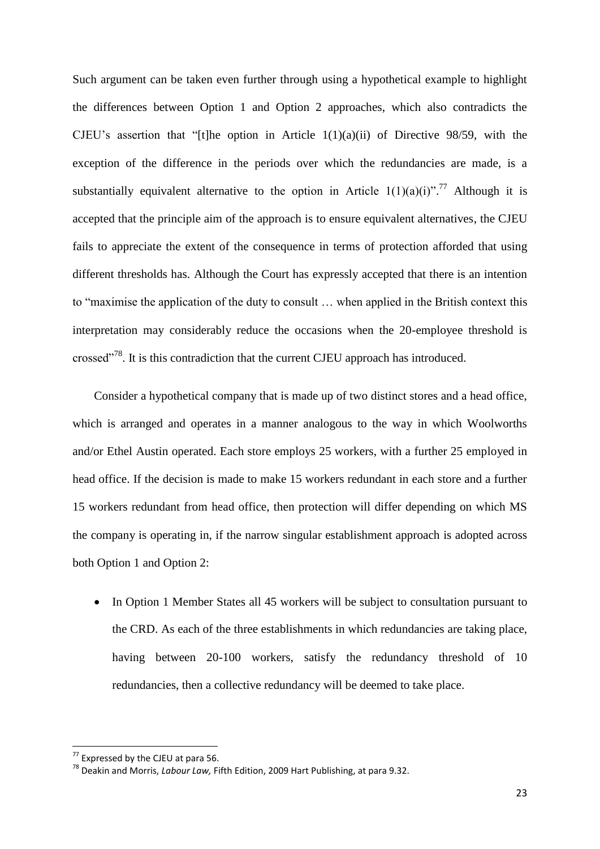Such argument can be taken even further through using a hypothetical example to highlight the differences between Option 1 and Option 2 approaches, which also contradicts the CJEU's assertion that "[t]he option in Article  $1(1)(a)(ii)$  of Directive 98/59, with the exception of the difference in the periods over which the redundancies are made, is a substantially equivalent alternative to the option in Article  $1(1)(a)(i)$ ".<sup>77</sup> Although it is accepted that the principle aim of the approach is to ensure equivalent alternatives, the CJEU fails to appreciate the extent of the consequence in terms of protection afforded that using different thresholds has. Although the Court has expressly accepted that there is an intention to "maximise the application of the duty to consult … when applied in the British context this interpretation may considerably reduce the occasions when the 20-employee threshold is crossed"<sup>78</sup>. It is this contradiction that the current CJEU approach has introduced.

Consider a hypothetical company that is made up of two distinct stores and a head office, which is arranged and operates in a manner analogous to the way in which Woolworths and/or Ethel Austin operated. Each store employs 25 workers, with a further 25 employed in head office. If the decision is made to make 15 workers redundant in each store and a further 15 workers redundant from head office, then protection will differ depending on which MS the company is operating in, if the narrow singular establishment approach is adopted across both Option 1 and Option 2:

• In Option 1 Member States all 45 workers will be subject to consultation pursuant to the CRD. As each of the three establishments in which redundancies are taking place, having between 20-100 workers, satisfy the redundancy threshold of 10 redundancies, then a collective redundancy will be deemed to take place.

 $77$  Expressed by the CJEU at para 56.

<sup>78</sup> Deakin and Morris, *Labour Law,* Fifth Edition, 2009 Hart Publishing, at para 9.32.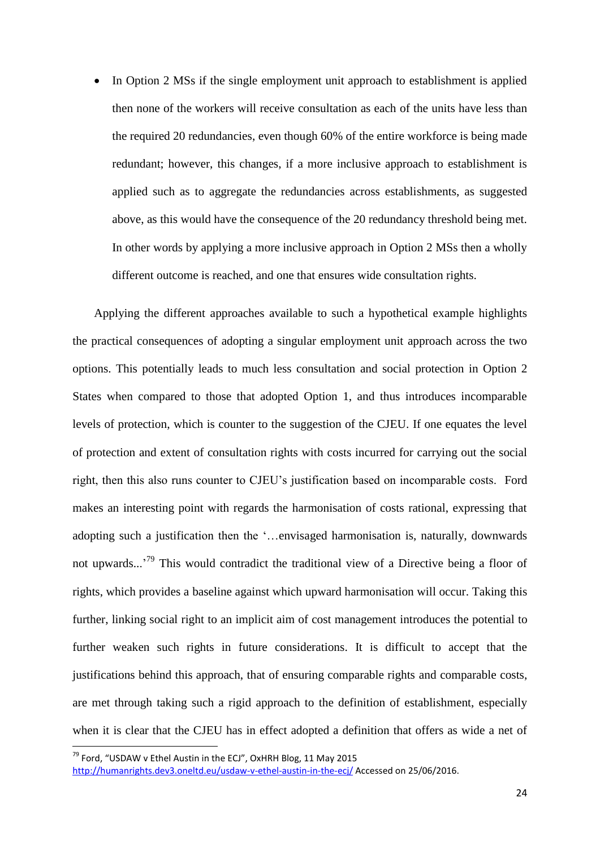• In Option 2 MSs if the single employment unit approach to establishment is applied then none of the workers will receive consultation as each of the units have less than the required 20 redundancies, even though 60% of the entire workforce is being made redundant; however, this changes, if a more inclusive approach to establishment is applied such as to aggregate the redundancies across establishments, as suggested above, as this would have the consequence of the 20 redundancy threshold being met. In other words by applying a more inclusive approach in Option 2 MSs then a wholly different outcome is reached, and one that ensures wide consultation rights.

Applying the different approaches available to such a hypothetical example highlights the practical consequences of adopting a singular employment unit approach across the two options. This potentially leads to much less consultation and social protection in Option 2 States when compared to those that adopted Option 1, and thus introduces incomparable levels of protection, which is counter to the suggestion of the CJEU. If one equates the level of protection and extent of consultation rights with costs incurred for carrying out the social right, then this also runs counter to CJEU's justification based on incomparable costs. Ford makes an interesting point with regards the harmonisation of costs rational, expressing that adopting such a justification then the '…envisaged harmonisation is, naturally, downwards not upwards...<sup>79</sup> This would contradict the traditional view of a Directive being a floor of rights, which provides a baseline against which upward harmonisation will occur. Taking this further, linking social right to an implicit aim of cost management introduces the potential to further weaken such rights in future considerations. It is difficult to accept that the justifications behind this approach, that of ensuring comparable rights and comparable costs, are met through taking such a rigid approach to the definition of establishment, especially when it is clear that the CJEU has in effect adopted a definition that offers as wide a net of

 $^{79}$  Ford, "USDAW v Ethel Austin in the ECJ", OxHRH Blog, 11 May 2015

<http://humanrights.dev3.oneltd.eu/usdaw-v-ethel-austin-in-the-ecj/> Accessed on 25/06/2016.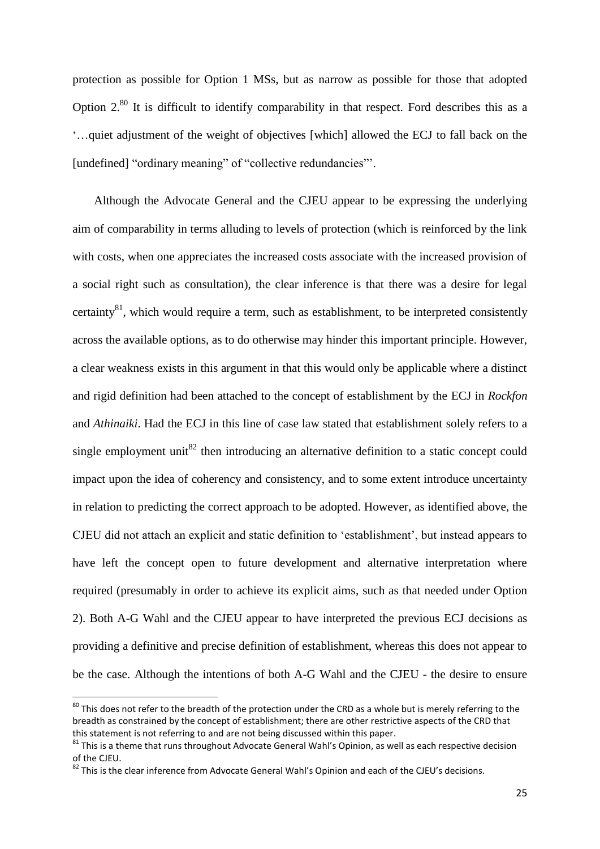protection as possible for Option 1 MSs, but as narrow as possible for those that adopted Option 2.<sup>80</sup> It is difficult to identify comparability in that respect. Ford describes this as a '…quiet adjustment of the weight of objectives [which] allowed the ECJ to fall back on the [undefined] "ordinary meaning" of "collective redundancies"'.

Although the Advocate General and the CJEU appear to be expressing the underlying aim of comparability in terms alluding to levels of protection (which is reinforced by the link with costs, when one appreciates the increased costs associate with the increased provision of a social right such as consultation), the clear inference is that there was a desire for legal certainty $^{81}$ , which would require a term, such as establishment, to be interpreted consistently across the available options, as to do otherwise may hinder this important principle. However, a clear weakness exists in this argument in that this would only be applicable where a distinct and rigid definition had been attached to the concept of establishment by the ECJ in *Rockfon* and *Athinaiki*. Had the ECJ in this line of case law stated that establishment solely refers to a single employment unit<sup>82</sup> then introducing an alternative definition to a static concept could impact upon the idea of coherency and consistency, and to some extent introduce uncertainty in relation to predicting the correct approach to be adopted. However, as identified above, the CJEU did not attach an explicit and static definition to 'establishment', but instead appears to have left the concept open to future development and alternative interpretation where required (presumably in order to achieve its explicit aims, such as that needed under Option 2). Both A-G Wahl and the CJEU appear to have interpreted the previous ECJ decisions as providing a definitive and precise definition of establishment, whereas this does not appear to be the case. Although the intentions of both A-G Wahl and the CJEU - the desire to ensure

 $^{80}$  This does not refer to the breadth of the protection under the CRD as a whole but is merely referring to the breadth as constrained by the concept of establishment; there are other restrictive aspects of the CRD that this statement is not referring to and are not being discussed within this paper.

 $81$  This is a theme that runs throughout Advocate General Wahl's Opinion, as well as each respective decision of the CJEU.

<sup>&</sup>lt;sup>82</sup> This is the clear inference from Advocate General Wahl's Opinion and each of the CJEU's decisions.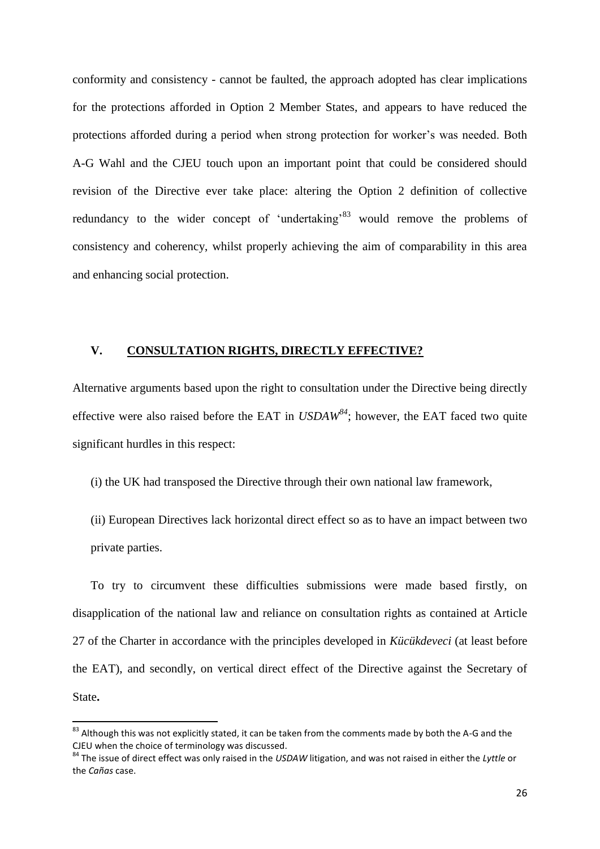conformity and consistency - cannot be faulted, the approach adopted has clear implications for the protections afforded in Option 2 Member States, and appears to have reduced the protections afforded during a period when strong protection for worker's was needed. Both A-G Wahl and the CJEU touch upon an important point that could be considered should revision of the Directive ever take place: altering the Option 2 definition of collective redundancy to the wider concept of 'undertaking'<sup>83</sup> would remove the problems of consistency and coherency, whilst properly achieving the aim of comparability in this area and enhancing social protection.

# **V. CONSULTATION RIGHTS, DIRECTLY EFFECTIVE?**

Alternative arguments based upon the right to consultation under the Directive being directly effective were also raised before the EAT in *USDAW<sup>84</sup>* ; however, the EAT faced two quite significant hurdles in this respect:

(i) the UK had transposed the Directive through their own national law framework,

(ii) European Directives lack horizontal direct effect so as to have an impact between two private parties.

To try to circumvent these difficulties submissions were made based firstly, on disapplication of the national law and reliance on consultation rights as contained at Article 27 of the Charter in accordance with the principles developed in *Kücükdeveci* (at least before the EAT), and secondly, on vertical direct effect of the Directive against the Secretary of State**.**

<sup>&</sup>lt;sup>83</sup> Although this was not explicitly stated, it can be taken from the comments made by both the A-G and the CJEU when the choice of terminology was discussed.

<sup>84</sup> The issue of direct effect was only raised in the *USDAW* litigation, and was not raised in either the *Lyttle* or the *Cañas* case.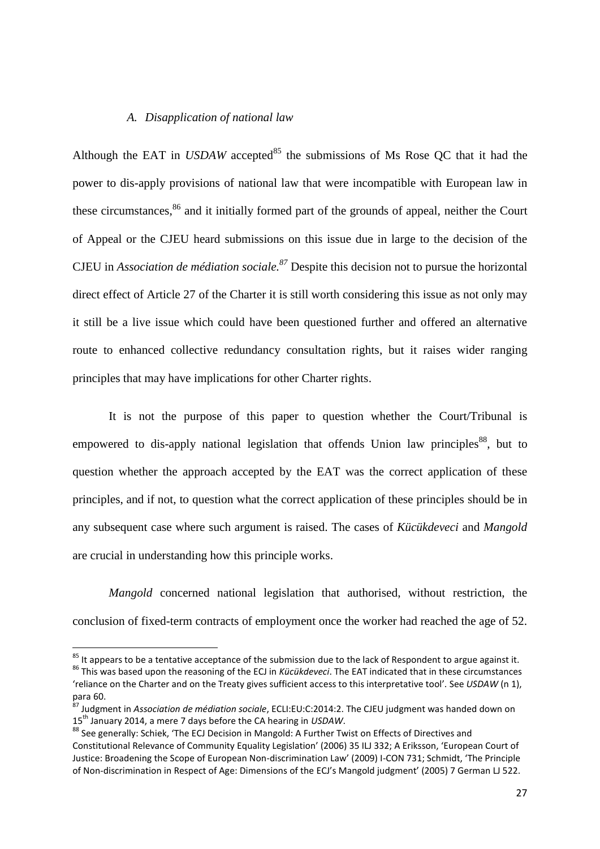#### *A. Disapplication of national law*

Although the EAT in *USDAW* accepted<sup>85</sup> the submissions of Ms Rose OC that it had the power to dis-apply provisions of national law that were incompatible with European law in these circumstances,<sup>86</sup> and it initially formed part of the grounds of appeal, neither the Court of Appeal or the CJEU heard submissions on this issue due in large to the decision of the CJEU in *Association de médiation sociale. <sup>87</sup>* Despite this decision not to pursue the horizontal direct effect of Article 27 of the Charter it is still worth considering this issue as not only may it still be a live issue which could have been questioned further and offered an alternative route to enhanced collective redundancy consultation rights, but it raises wider ranging principles that may have implications for other Charter rights.

It is not the purpose of this paper to question whether the Court/Tribunal is empowered to dis-apply national legislation that offends Union law principles<sup>88</sup>, but to question whether the approach accepted by the EAT was the correct application of these principles, and if not, to question what the correct application of these principles should be in any subsequent case where such argument is raised. The cases of *Kücükdeveci* and *Mangold* are crucial in understanding how this principle works.

*Mangold* concerned national legislation that authorised, without restriction, the conclusion of fixed-term contracts of employment once the worker had reached the age of 52.

 $85$  It appears to be a tentative acceptance of the submission due to the lack of Respondent to argue against it. <sup>86</sup> This was based upon the reasoning of the ECJ in *Kücükdeveci*. The EAT indicated that in these circumstances 'reliance on the Charter and on the Treaty gives sufficient access to this interpretative tool'. See *USDAW* (n 1),  $_{87}^{para}$  60.

<sup>87</sup> Judgment in *Association de médiation sociale*, ECLI:EU:C:2014:2. The CJEU judgment was handed down on 15th January 2014, a mere 7 days before the CA hearing in *USDAW*.

<sup>88</sup> See generally: Schiek, 'The ECJ Decision in Mangold: A Further Twist on Effects of Directives and Constitutional Relevance of Community Equality Legislation' (2006) 35 ILJ 332; A Eriksson, 'European Court of Justice: Broadening the Scope of European Non-discrimination Law' (2009) I-CON 731; Schmidt, 'The Principle of Non-discrimination in Respect of Age: Dimensions of the ECJ's Mangold judgment' (2005) 7 German LJ 522.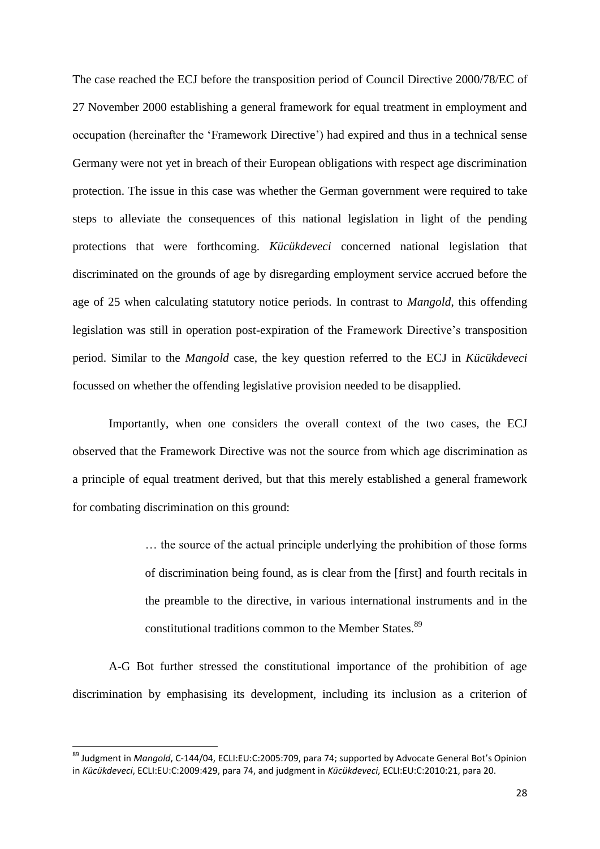The case reached the ECJ before the transposition period of Council Directive 2000/78/EC of 27 November 2000 establishing a general framework for equal treatment in employment and occupation (hereinafter the 'Framework Directive') had expired and thus in a technical sense Germany were not yet in breach of their European obligations with respect age discrimination protection. The issue in this case was whether the German government were required to take steps to alleviate the consequences of this national legislation in light of the pending protections that were forthcoming. *Kücükdeveci* concerned national legislation that discriminated on the grounds of age by disregarding employment service accrued before the age of 25 when calculating statutory notice periods. In contrast to *Mangold*, this offending legislation was still in operation post-expiration of the Framework Directive's transposition period. Similar to the *Mangold* case, the key question referred to the ECJ in *Kücükdeveci* focussed on whether the offending legislative provision needed to be disapplied.

Importantly, when one considers the overall context of the two cases, the ECJ observed that the Framework Directive was not the source from which age discrimination as a principle of equal treatment derived, but that this merely established a general framework for combating discrimination on this ground:

> … the source of the actual principle underlying the prohibition of those forms of discrimination being found, as is clear from the [first] and fourth recitals in the preamble to the directive, in various international instruments and in the constitutional traditions common to the Member States.<sup>89</sup>

A-G Bot further stressed the constitutional importance of the prohibition of age discrimination by emphasising its development, including its inclusion as a criterion of

<sup>89</sup> Judgment in *Mangold*, C-144/04, ECLI:EU:C:2005:709, para 74; supported by Advocate General Bot's Opinion in *Kücükdeveci*, ECLI:EU:C:2009:429, para 74, and judgment in *Kücükdeveci*, ECLI:EU:C:2010:21, para 20.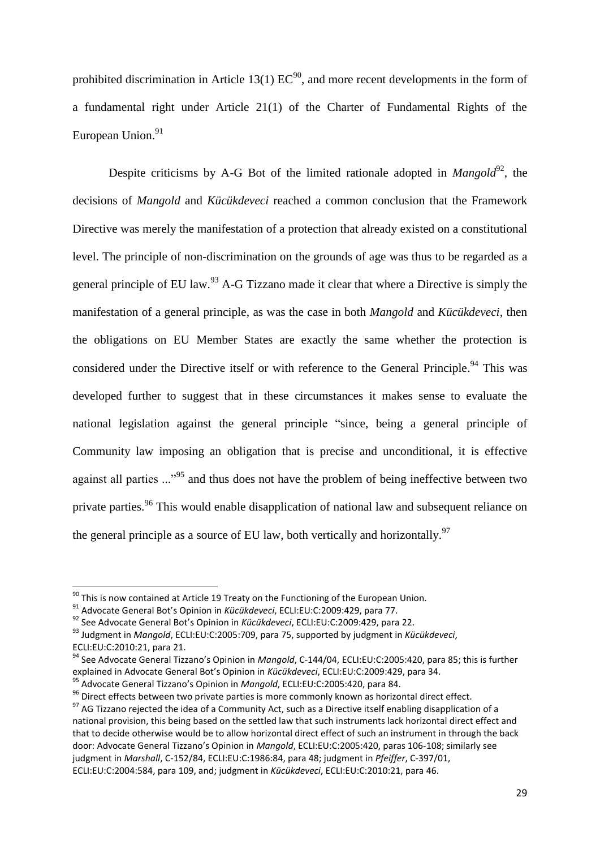prohibited discrimination in Article 13(1)  $EC^{90}$ , and more recent developments in the form of a fundamental right under Article 21(1) of the Charter of Fundamental Rights of the European Union. $91$ 

Despite criticisms by A-G Bot of the limited rationale adopted in *Mangold*<sup>92</sup>, the decisions of *Mangold* and *Kücükdeveci* reached a common conclusion that the Framework Directive was merely the manifestation of a protection that already existed on a constitutional level. The principle of non-discrimination on the grounds of age was thus to be regarded as a general principle of EU law.<sup>93</sup> A-G Tizzano made it clear that where a Directive is simply the manifestation of a general principle, as was the case in both *Mangold* and *Kücükdeveci*, then the obligations on EU Member States are exactly the same whether the protection is considered under the Directive itself or with reference to the General Principle.<sup>94</sup> This was developed further to suggest that in these circumstances it makes sense to evaluate the national legislation against the general principle "since, being a general principle of Community law imposing an obligation that is precise and unconditional, it is effective against all parties ..."<sup>95</sup> and thus does not have the problem of being ineffective between two private parties.<sup>96</sup> This would enable disapplication of national law and subsequent reliance on the general principle as a source of EU law, both vertically and horizontally.<sup>97</sup>

 $90$  This is now contained at Article 19 Treaty on the Functioning of the European Union.

<sup>91</sup> Advocate General Bot's Opinion in *Kücükdeveci*, ECLI:EU:C:2009:429, para 77.

<sup>92</sup> See Advocate General Bot's Opinion in *Kücükdeveci*, ECLI:EU:C:2009:429, para 22.

<sup>93</sup> Judgment in *Mangold*, ECLI:EU:C:2005:709, para 75, supported by judgment in *Kücükdeveci*, ECLI:EU:C:2010:21, para 21.

<sup>94</sup> See Advocate General Tizzano's Opinion in *Mangold*, C-144/04, ECLI:EU:C:2005:420, para 85; this is further explained in Advocate General Bot's Opinion in *Kücükdeveci*, ECLI:EU:C:2009:429, para 34.

<sup>95</sup> Advocate General Tizzano's Opinion in *Mangold*, ECLI:EU:C:2005:420, para 84.

 $96$  Direct effects between two private parties is more commonly known as horizontal direct effect.

<sup>&</sup>lt;sup>97</sup> AG Tizzano rejected the idea of a Community Act, such as a Directive itself enabling disapplication of a national provision, this being based on the settled law that such instruments lack horizontal direct effect and that to decide otherwise would be to allow horizontal direct effect of such an instrument in through the back door: Advocate General Tizzano's Opinion in *Mangold*, ECLI:EU:C:2005:420, paras 106-108; similarly see judgment in *Marshall*, C-152/84, ECLI:EU:C:1986:84, para 48; judgment in *Pfeiffer*, C-397/01, ECLI:EU:C:2004:584, para 109, and; judgment in *Kücükdeveci*, ECLI:EU:C:2010:21, para 46.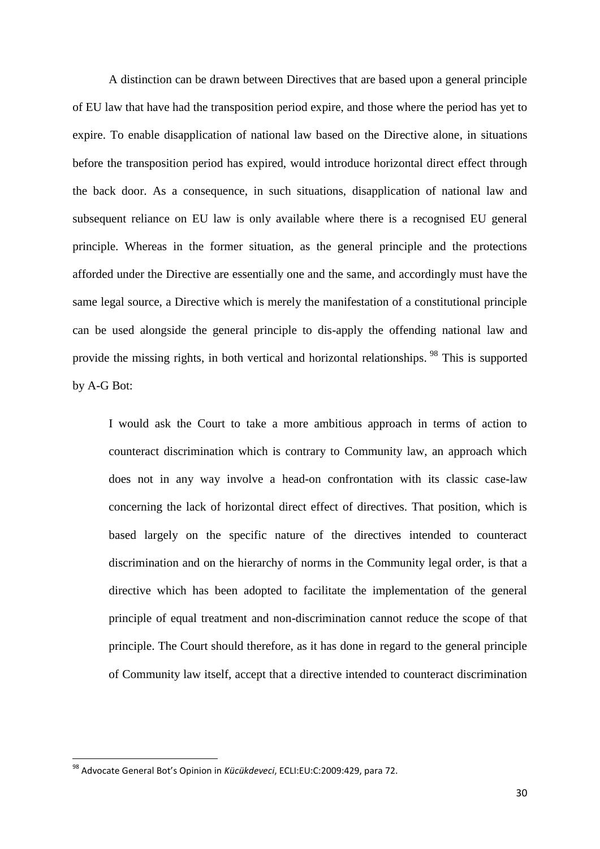A distinction can be drawn between Directives that are based upon a general principle of EU law that have had the transposition period expire, and those where the period has yet to expire. To enable disapplication of national law based on the Directive alone, in situations before the transposition period has expired, would introduce horizontal direct effect through the back door. As a consequence, in such situations, disapplication of national law and subsequent reliance on EU law is only available where there is a recognised EU general principle. Whereas in the former situation, as the general principle and the protections afforded under the Directive are essentially one and the same, and accordingly must have the same legal source, a Directive which is merely the manifestation of a constitutional principle can be used alongside the general principle to dis-apply the offending national law and provide the missing rights, in both vertical and horizontal relationships. <sup>98</sup> This is supported by A-G Bot:

I would ask the Court to take a more ambitious approach in terms of action to counteract discrimination which is contrary to Community law, an approach which does not in any way involve a head-on confrontation with its classic case-law concerning the lack of horizontal direct effect of directives. That position, which is based largely on the specific nature of the directives intended to counteract discrimination and on the hierarchy of norms in the Community legal order, is that a directive which has been adopted to facilitate the implementation of the general principle of equal treatment and non-discrimination cannot reduce the scope of that principle. The Court should therefore, as it has done in regard to the general principle of Community law itself, accept that a directive intended to counteract discrimination

<sup>98</sup> Advocate General Bot's Opinion in *Kücükdeveci*, ECLI:EU:C:2009:429, para 72.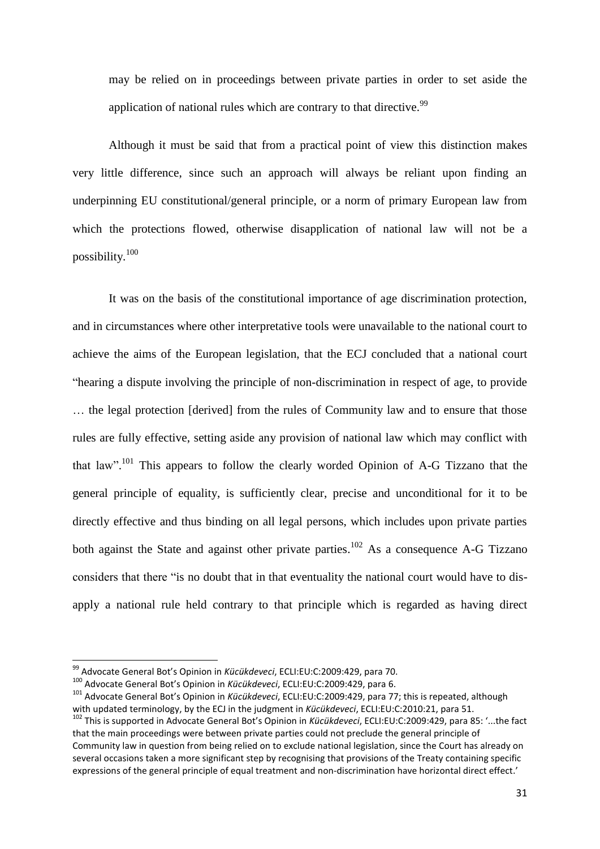may be relied on in proceedings between private parties in order to set aside the application of national rules which are contrary to that directive.<sup>99</sup>

Although it must be said that from a practical point of view this distinction makes very little difference, since such an approach will always be reliant upon finding an underpinning EU constitutional/general principle, or a norm of primary European law from which the protections flowed, otherwise disapplication of national law will not be a possibility.<sup>100</sup>

It was on the basis of the constitutional importance of age discrimination protection, and in circumstances where other interpretative tools were unavailable to the national court to achieve the aims of the European legislation, that the ECJ concluded that a national court "hearing a dispute involving the principle of non-discrimination in respect of age, to provide … the legal protection [derived] from the rules of Community law and to ensure that those rules are fully effective, setting aside any provision of national law which may conflict with that law".<sup>101</sup> This appears to follow the clearly worded Opinion of A-G Tizzano that the general principle of equality, is sufficiently clear, precise and unconditional for it to be directly effective and thus binding on all legal persons, which includes upon private parties both against the State and against other private parties.<sup>102</sup> As a consequence A-G Tizzano considers that there "is no doubt that in that eventuality the national court would have to disapply a national rule held contrary to that principle which is regarded as having direct

<sup>99</sup> Advocate General Bot's Opinion in *Kücükdeveci*, ECLI:EU:C:2009:429, para 70.

<sup>100</sup> Advocate General Bot's Opinion in *Kücükdeveci*, ECLI:EU:C:2009:429, para 6.

<sup>101</sup> Advocate General Bot's Opinion in *Kücükdeveci*, ECLI:EU:C:2009:429, para 77; this is repeated, although with updated terminology, by the ECJ in the judgment in *Kücükdeveci*, ECLI:EU:C:2010:21, para 51.

<sup>102</sup> This is supported in Advocate General Bot's Opinion in *Kücükdeveci*, ECLI:EU:C:2009:429, para 85: '...the fact that the main proceedings were between private parties could not preclude the general principle of Community law in question from being relied on to exclude national legislation, since the Court has already on several occasions taken a more significant step by recognising that provisions of the Treaty containing specific expressions of the general principle of equal treatment and non-discrimination have horizontal direct effect.'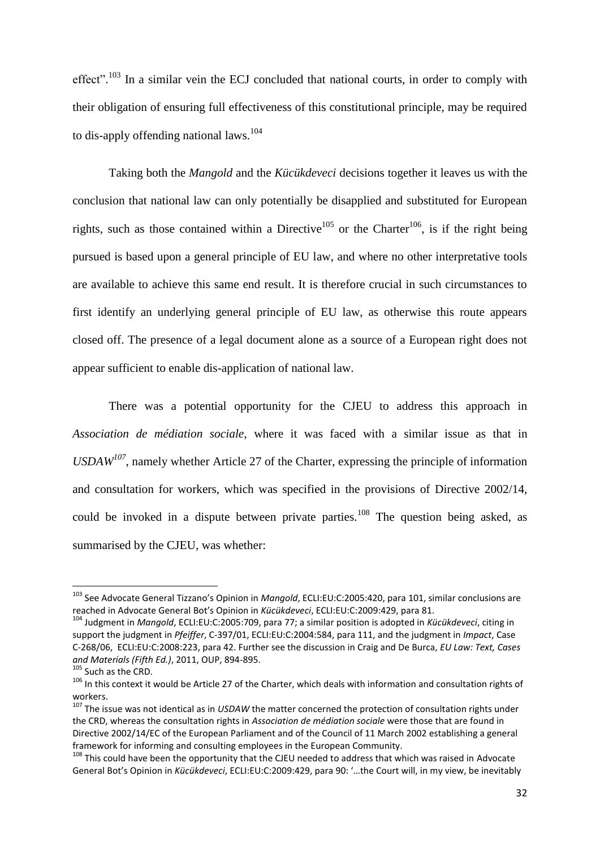effect".<sup>103</sup> In a similar vein the ECJ concluded that national courts, in order to comply with their obligation of ensuring full effectiveness of this constitutional principle, may be required to dis-apply offending national laws.<sup>104</sup>

Taking both the *Mangold* and the *Kücükdeveci* decisions together it leaves us with the conclusion that national law can only potentially be disapplied and substituted for European rights, such as those contained within a Directive<sup>105</sup> or the Charter<sup>106</sup>, is if the right being pursued is based upon a general principle of EU law, and where no other interpretative tools are available to achieve this same end result. It is therefore crucial in such circumstances to first identify an underlying general principle of EU law, as otherwise this route appears closed off. The presence of a legal document alone as a source of a European right does not appear sufficient to enable dis-application of national law.

There was a potential opportunity for the CJEU to address this approach in *Association de médiation sociale*, where it was faced with a similar issue as that in *USDAW<sup>107</sup>*, namely whether Article 27 of the Charter, expressing the principle of information and consultation for workers, which was specified in the provisions of Directive 2002/14, could be invoked in a dispute between private parties.<sup>108</sup> The question being asked, as summarised by the CJEU, was whether:

<sup>103</sup> See Advocate General Tizzano's Opinion in *Mangold*, ECLI:EU:C:2005:420, para 101, similar conclusions are reached in Advocate General Bot's Opinion in *Kücükdeveci*, ECLI:EU:C:2009:429, para 81.

<sup>104</sup> Judgment in *Mangold*, ECLI:EU:C:2005:709, para 77; a similar position is adopted in *Kücükdeveci*, citing in support the judgment in *Pfeiffer*, C-397/01, ECLI:EU:C:2004:584, para 111, and the judgment in *Impact*, Case C-268/06, ECLI:EU:C:2008:223, para 42. Further see the discussion in Craig and De Burca, *EU Law: Text, Cases and Materials (Fifth Ed.)*, 2011, OUP, 894-895.

<sup>105</sup> Such as the CRD.

<sup>&</sup>lt;sup>106</sup> In this context it would be Article 27 of the Charter, which deals with information and consultation rights of workers.

<sup>107</sup> The issue was not identical as in *USDAW* the matter concerned the protection of consultation rights under the CRD, whereas the consultation rights in *Association de médiation sociale* were those that are found in Directive 2002/14/EC of the European Parliament and of the Council of 11 March 2002 establishing a general framework for informing and consulting employees in the European Community.

<sup>&</sup>lt;sup>108</sup> This could have been the opportunity that the CJEU needed to address that which was raised in Advocate General Bot's Opinion in *Kücükdeveci*, ECLI:EU:C:2009:429, para 90: '…the Court will, in my view, be inevitably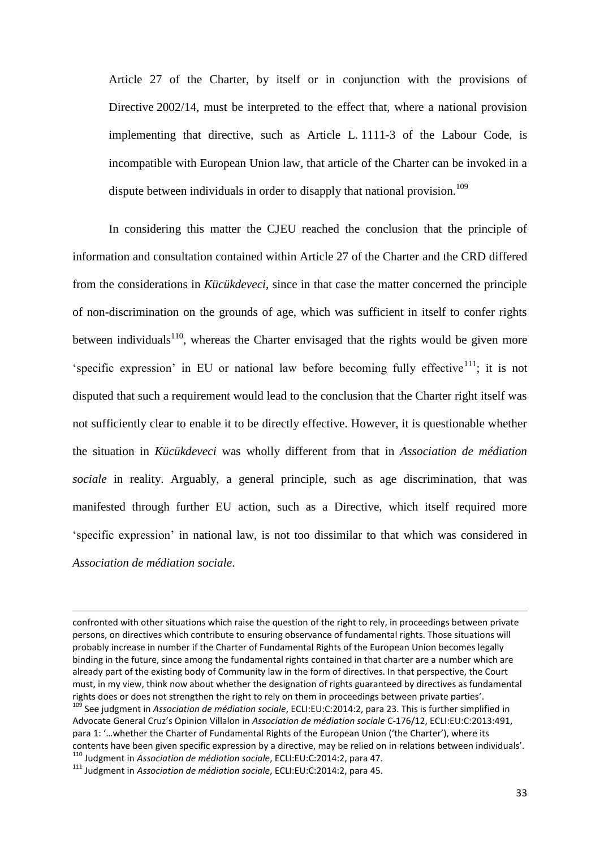Article 27 of the Charter, by itself or in conjunction with the provisions of Directive 2002/14, must be interpreted to the effect that, where a national provision implementing that directive, such as Article L. 1111-3 of the Labour Code, is incompatible with European Union law, that article of the Charter can be invoked in a dispute between individuals in order to disapply that national provision.<sup>109</sup>

In considering this matter the CJEU reached the conclusion that the principle of information and consultation contained within Article 27 of the Charter and the CRD differed from the considerations in *Kücükdeveci*, since in that case the matter concerned the principle of non-discrimination on the grounds of age, which was sufficient in itself to confer rights between individuals<sup>110</sup>, whereas the Charter envisaged that the rights would be given more 'specific expression' in EU or national law before becoming fully effective $111$ ; it is not disputed that such a requirement would lead to the conclusion that the Charter right itself was not sufficiently clear to enable it to be directly effective. However, it is questionable whether the situation in *Kücükdeveci* was wholly different from that in *Association de médiation sociale* in reality. Arguably, a general principle, such as age discrimination, that was manifested through further EU action, such as a Directive, which itself required more 'specific expression' in national law, is not too dissimilar to that which was considered in *Association de médiation sociale*.

confronted with other situations which raise the question of the right to rely, in proceedings between private persons, on directives which contribute to ensuring observance of fundamental rights. Those situations will probably increase in number if the Charter of Fundamental Rights of the European Union becomes legally binding in the future, since among the fundamental rights contained in that charter are a number which are already part of the existing body of Community law in the form of directives. In that perspective, the Court must, in my view, think now about whether the designation of rights guaranteed by directives as fundamental rights does or does not strengthen the right to rely on them in proceedings between private parties'.

<sup>109</sup> See judgment in *Association de médiation sociale*, ECLI:EU:C:2014:2, para 23. This is further simplified in Advocate General Cruz's Opinion Villalon in *Association de médiation sociale* C-176/12, ECLI:EU:C:2013:491, para 1: '…whether the Charter of Fundamental Rights of the European Union ('the Charter'), where its contents have been given specific expression by a directive, may be relied on in relations between individuals'. <sup>110</sup> Judgment in *Association de médiation sociale*, ECLI:EU:C:2014:2, para 47.

<sup>111</sup> Judgment in *Association de médiation sociale*, ECLI:EU:C:2014:2, para 45.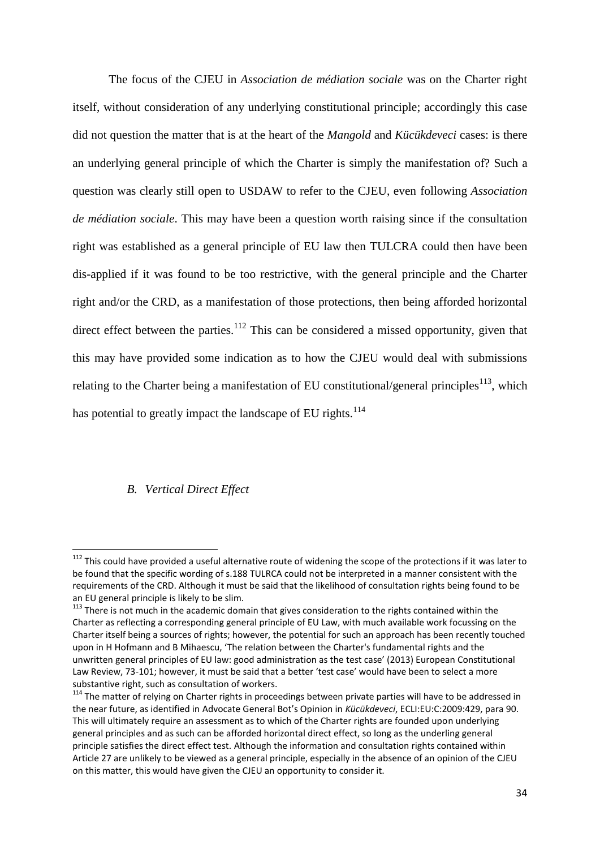The focus of the CJEU in *Association de médiation sociale* was on the Charter right itself, without consideration of any underlying constitutional principle; accordingly this case did not question the matter that is at the heart of the *Mangold* and *Kücükdeveci* cases: is there an underlying general principle of which the Charter is simply the manifestation of? Such a question was clearly still open to USDAW to refer to the CJEU, even following *Association de médiation sociale*. This may have been a question worth raising since if the consultation right was established as a general principle of EU law then TULCRA could then have been dis-applied if it was found to be too restrictive, with the general principle and the Charter right and/or the CRD, as a manifestation of those protections, then being afforded horizontal direct effect between the parties.<sup>112</sup> This can be considered a missed opportunity, given that this may have provided some indication as to how the CJEU would deal with submissions relating to the Charter being a manifestation of EU constitutional/general principles<sup>113</sup>, which has potential to greatly impact the landscape of EU rights.<sup>114</sup>

#### *B. Vertical Direct Effect*

 $112$  This could have provided a useful alternative route of widening the scope of the protections if it was later to be found that the specific wording of s.188 TULRCA could not be interpreted in a manner consistent with the requirements of the CRD. Although it must be said that the likelihood of consultation rights being found to be an EU general principle is likely to be slim.

<sup>&</sup>lt;sup>113</sup> There is not much in the academic domain that gives consideration to the rights contained within the Charter as reflecting a corresponding general principle of EU Law, with much available work focussing on the Charter itself being a sources of rights; however, the potential for such an approach has been recently touched upon in H Hofmann and B Mihaescu, 'The relation between the Charter's fundamental rights and the unwritten general principles of EU law: good administration as the test case' (2013) European Constitutional Law Review, 73-101; however, it must be said that a better 'test case' would have been to select a more substantive right, such as consultation of workers.

<sup>&</sup>lt;sup>114</sup> The matter of relying on Charter rights in proceedings between private parties will have to be addressed in the near future, as identified in Advocate General Bot's Opinion in *Kücükdeveci*, ECLI:EU:C:2009:429, para 90. This will ultimately require an assessment as to which of the Charter rights are founded upon underlying general principles and as such can be afforded horizontal direct effect, so long as the underling general principle satisfies the direct effect test. Although the information and consultation rights contained within Article 27 are unlikely to be viewed as a general principle, especially in the absence of an opinion of the CJEU on this matter, this would have given the CJEU an opportunity to consider it.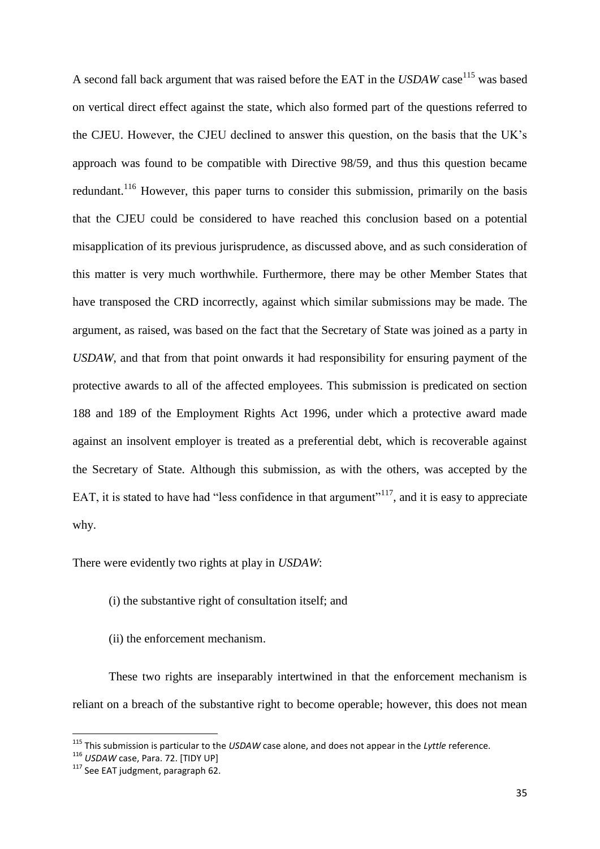A second fall back argument that was raised before the EAT in the *USDAW* case <sup>115</sup> was based on vertical direct effect against the state, which also formed part of the questions referred to the CJEU. However, the CJEU declined to answer this question, on the basis that the UK's approach was found to be compatible with Directive 98/59, and thus this question became redundant.<sup>116</sup> However, this paper turns to consider this submission, primarily on the basis that the CJEU could be considered to have reached this conclusion based on a potential misapplication of its previous jurisprudence, as discussed above, and as such consideration of this matter is very much worthwhile. Furthermore, there may be other Member States that have transposed the CRD incorrectly, against which similar submissions may be made. The argument, as raised, was based on the fact that the Secretary of State was joined as a party in *USDAW*, and that from that point onwards it had responsibility for ensuring payment of the protective awards to all of the affected employees. This submission is predicated on section 188 and 189 of the Employment Rights Act 1996, under which a protective award made against an insolvent employer is treated as a preferential debt, which is recoverable against the Secretary of State. Although this submission, as with the others, was accepted by the EAT, it is stated to have had "less confidence in that argument"<sup>117</sup>, and it is easy to appreciate why.

There were evidently two rights at play in *USDAW*:

- (i) the substantive right of consultation itself; and
- (ii) the enforcement mechanism.

These two rights are inseparably intertwined in that the enforcement mechanism is reliant on a breach of the substantive right to become operable; however, this does not mean

<sup>115</sup> This submission is particular to the *USDAW* case alone, and does not appear in the *Lyttle* reference.

<sup>116</sup> *USDAW* case, Para. 72. [TIDY UP]

<sup>&</sup>lt;sup>117</sup> See EAT judgment, paragraph 62.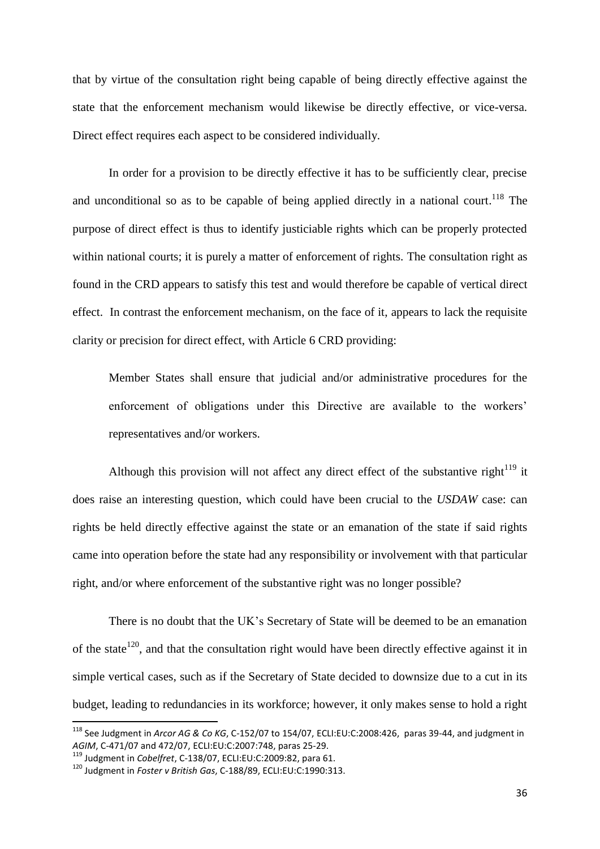that by virtue of the consultation right being capable of being directly effective against the state that the enforcement mechanism would likewise be directly effective, or vice-versa. Direct effect requires each aspect to be considered individually.

In order for a provision to be directly effective it has to be sufficiently clear, precise and unconditional so as to be capable of being applied directly in a national court.<sup>118</sup> The purpose of direct effect is thus to identify justiciable rights which can be properly protected within national courts; it is purely a matter of enforcement of rights. The consultation right as found in the CRD appears to satisfy this test and would therefore be capable of vertical direct effect. In contrast the enforcement mechanism, on the face of it, appears to lack the requisite clarity or precision for direct effect, with Article 6 CRD providing:

Member States shall ensure that judicial and/or administrative procedures for the enforcement of obligations under this Directive are available to the workers' representatives and/or workers.

Although this provision will not affect any direct effect of the substantive right<sup>119</sup> it does raise an interesting question, which could have been crucial to the *USDAW* case: can rights be held directly effective against the state or an emanation of the state if said rights came into operation before the state had any responsibility or involvement with that particular right, and/or where enforcement of the substantive right was no longer possible?

There is no doubt that the UK's Secretary of State will be deemed to be an emanation of the state<sup>120</sup>, and that the consultation right would have been directly effective against it in simple vertical cases, such as if the Secretary of State decided to downsize due to a cut in its budget, leading to redundancies in its workforce; however, it only makes sense to hold a right

<sup>118</sup> See Judgment in *Arcor AG & Co KG*, C-152/07 to 154/07, ECLI:EU:C:2008:426, paras 39-44, and judgment in *AGIM*, C-471/07 and 472/07, ECLI:EU:C:2007:748, paras 25-29.

<sup>119</sup> Judgment in *Cobelfret*, C-138/07, ECLI:EU:C:2009:82, para 61.

<sup>120</sup> Judgment in *Foster v British Gas*, C-188/89, ECLI:EU:C:1990:313.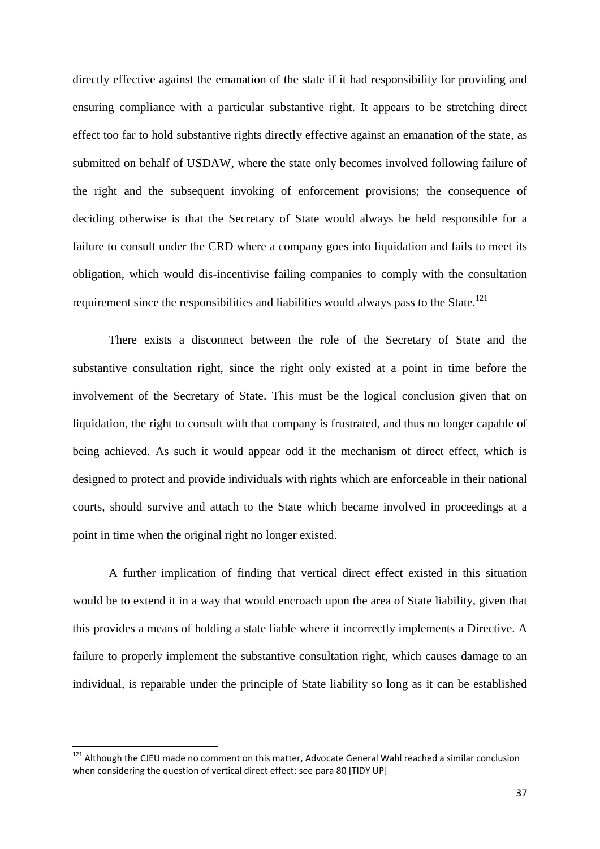directly effective against the emanation of the state if it had responsibility for providing and ensuring compliance with a particular substantive right. It appears to be stretching direct effect too far to hold substantive rights directly effective against an emanation of the state, as submitted on behalf of USDAW, where the state only becomes involved following failure of the right and the subsequent invoking of enforcement provisions; the consequence of deciding otherwise is that the Secretary of State would always be held responsible for a failure to consult under the CRD where a company goes into liquidation and fails to meet its obligation, which would dis-incentivise failing companies to comply with the consultation requirement since the responsibilities and liabilities would always pass to the State.<sup>121</sup>

There exists a disconnect between the role of the Secretary of State and the substantive consultation right, since the right only existed at a point in time before the involvement of the Secretary of State. This must be the logical conclusion given that on liquidation, the right to consult with that company is frustrated, and thus no longer capable of being achieved. As such it would appear odd if the mechanism of direct effect, which is designed to protect and provide individuals with rights which are enforceable in their national courts, should survive and attach to the State which became involved in proceedings at a point in time when the original right no longer existed.

A further implication of finding that vertical direct effect existed in this situation would be to extend it in a way that would encroach upon the area of State liability, given that this provides a means of holding a state liable where it incorrectly implements a Directive. A failure to properly implement the substantive consultation right, which causes damage to an individual, is reparable under the principle of State liability so long as it can be established

<sup>&</sup>lt;sup>121</sup> Although the CJEU made no comment on this matter, Advocate General Wahl reached a similar conclusion when considering the question of vertical direct effect: see para 80 [TIDY UP]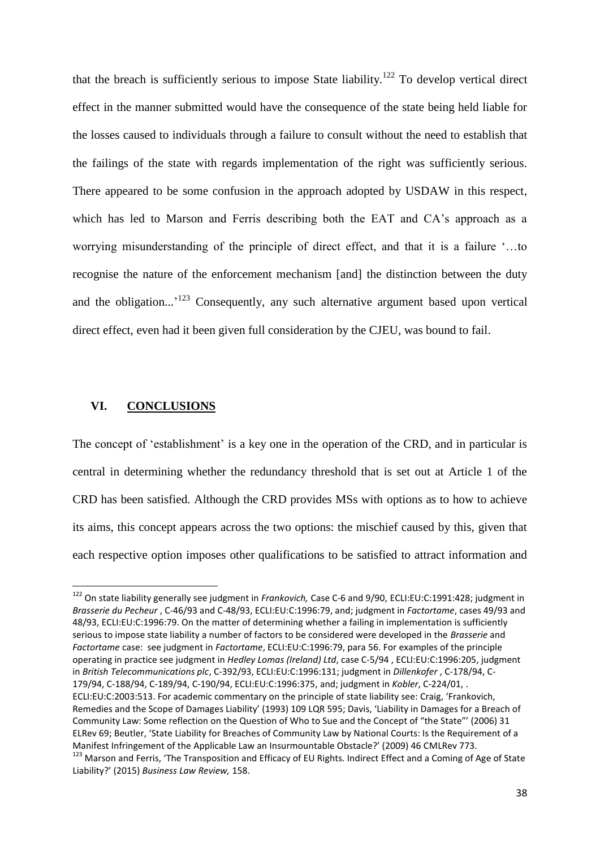that the breach is sufficiently serious to impose State liability.<sup>122</sup> To develop vertical direct effect in the manner submitted would have the consequence of the state being held liable for the losses caused to individuals through a failure to consult without the need to establish that the failings of the state with regards implementation of the right was sufficiently serious. There appeared to be some confusion in the approach adopted by USDAW in this respect, which has led to Marson and Ferris describing both the EAT and CA's approach as a worrying misunderstanding of the principle of direct effect, and that it is a failure '…to recognise the nature of the enforcement mechanism [and] the distinction between the duty and the obligation...<sup>,123</sup> Consequently, any such alternative argument based upon vertical direct effect, even had it been given full consideration by the CJEU, was bound to fail.

### **VI. CONCLUSIONS**

**.** 

The concept of 'establishment' is a key one in the operation of the CRD, and in particular is central in determining whether the redundancy threshold that is set out at Article 1 of the CRD has been satisfied. Although the CRD provides MSs with options as to how to achieve its aims, this concept appears across the two options: the mischief caused by this, given that each respective option imposes other qualifications to be satisfied to attract information and

<sup>122</sup> On state liability generally see judgment in *Frankovich,* Case C-6 and 9/90, ECLI:EU:C:1991:428; judgment in *Brasserie du Pecheur* , C-46/93 and C-48/93, ECLI:EU:C:1996:79, and; judgment in *Factortame*, cases 49/93 and 48/93, ECLI:EU:C:1996:79. On the matter of determining whether a failing in implementation is sufficiently serious to impose state liability a number of factors to be considered were developed in the *Brasserie* and *Factortame* case: see judgment in *Factortame*, ECLI:EU:C:1996:79, para 56. For examples of the principle operating in practice see judgment in *Hedley Lomas (Ireland) Ltd*, case C-5/94 , ECLI:EU:C:1996:205, judgment in *British Telecommunications plc*, C-392/93, ECLI:EU:C:1996:131; judgment in *Dillenkofer* , C-178/94, C-179/94, C-188/94, C-189/94, C-190/94, ECLI:EU:C:1996:375, and; judgment in *Kobler*, C-224/01, . ECLI:EU:C:2003:513. For academic commentary on the principle of state liability see: Craig, 'Frankovich, Remedies and the Scope of Damages Liability' (1993) 109 LQR 595; Davis, 'Liability in Damages for a Breach of Community Law: Some reflection on the Question of Who to Sue and the Concept of "the State"' (2006) 31 ELRev 69; Beutler, 'State Liability for Breaches of Community Law by National Courts: Is the Requirement of a Manifest Infringement of the Applicable Law an Insurmountable Obstacle?' (2009) 46 CMLRev 773. 123 Marson and Ferris, 'The Transposition and Efficacy of EU Rights. Indirect Effect and a Coming of Age of State Liability?' (2015) *Business Law Review,* 158.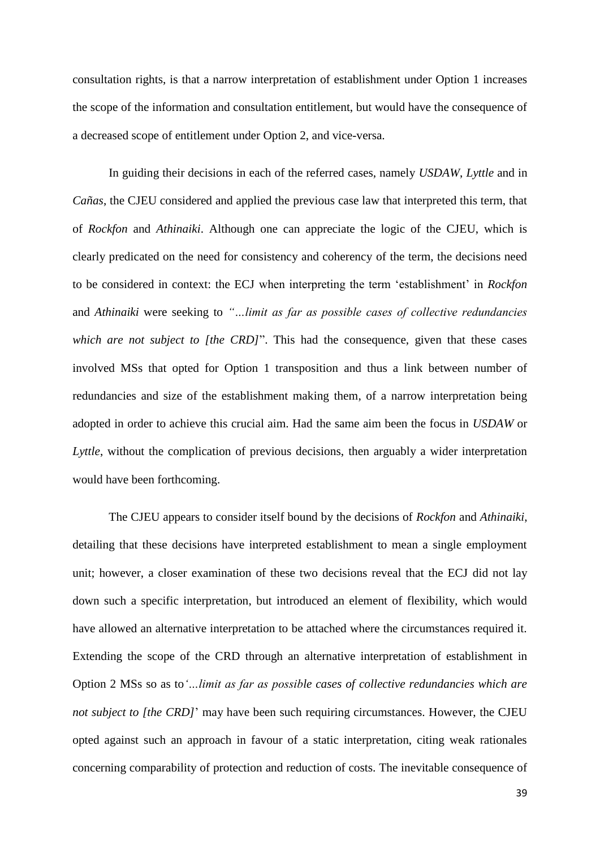consultation rights, is that a narrow interpretation of establishment under Option 1 increases the scope of the information and consultation entitlement, but would have the consequence of a decreased scope of entitlement under Option 2, and vice-versa.

In guiding their decisions in each of the referred cases, namely *USDAW*, *Lyttle* and in *Cañas*, the CJEU considered and applied the previous case law that interpreted this term, that of *Rockfon* and *Athinaiki*. Although one can appreciate the logic of the CJEU, which is clearly predicated on the need for consistency and coherency of the term, the decisions need to be considered in context: the ECJ when interpreting the term 'establishment' in *Rockfon* and *Athinaiki* were seeking to *"…limit as far as possible cases of collective redundancies which are not subject to [the CRD]*". This had the consequence, given that these cases involved MSs that opted for Option 1 transposition and thus a link between number of redundancies and size of the establishment making them, of a narrow interpretation being adopted in order to achieve this crucial aim. Had the same aim been the focus in *USDAW* or *Lyttle*, without the complication of previous decisions, then arguably a wider interpretation would have been forthcoming.

The CJEU appears to consider itself bound by the decisions of *Rockfon* and *Athinaiki*, detailing that these decisions have interpreted establishment to mean a single employment unit; however, a closer examination of these two decisions reveal that the ECJ did not lay down such a specific interpretation, but introduced an element of flexibility, which would have allowed an alternative interpretation to be attached where the circumstances required it. Extending the scope of the CRD through an alternative interpretation of establishment in Option 2 MSs so as to*'…limit as far as possible cases of collective redundancies which are not subject to [the CRD]*' may have been such requiring circumstances. However, the CJEU opted against such an approach in favour of a static interpretation, citing weak rationales concerning comparability of protection and reduction of costs. The inevitable consequence of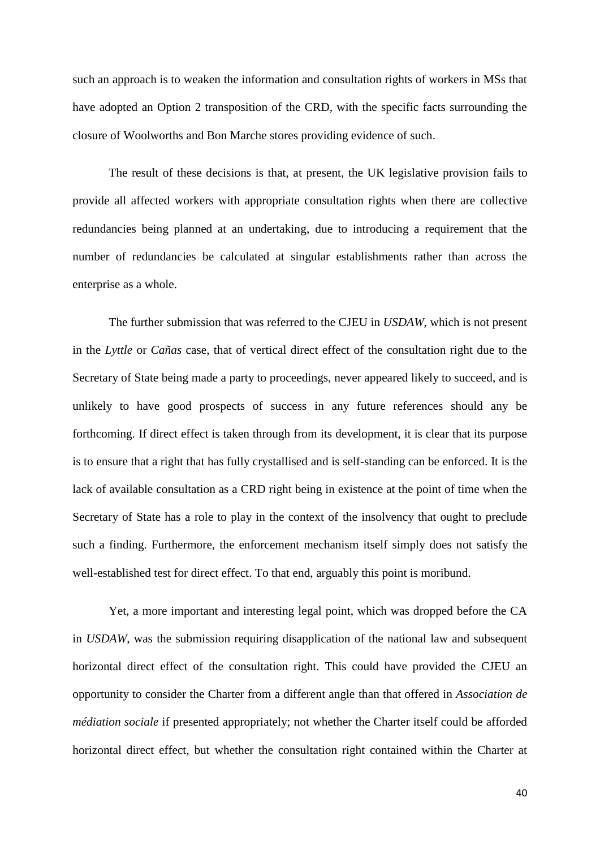such an approach is to weaken the information and consultation rights of workers in MSs that have adopted an Option 2 transposition of the CRD, with the specific facts surrounding the closure of Woolworths and Bon Marche stores providing evidence of such.

The result of these decisions is that, at present, the UK legislative provision fails to provide all affected workers with appropriate consultation rights when there are collective redundancies being planned at an undertaking, due to introducing a requirement that the number of redundancies be calculated at singular establishments rather than across the enterprise as a whole.

The further submission that was referred to the CJEU in *USDAW*, which is not present in the *Lyttle* or *Cañas* case, that of vertical direct effect of the consultation right due to the Secretary of State being made a party to proceedings, never appeared likely to succeed, and is unlikely to have good prospects of success in any future references should any be forthcoming. If direct effect is taken through from its development, it is clear that its purpose is to ensure that a right that has fully crystallised and is self-standing can be enforced. It is the lack of available consultation as a CRD right being in existence at the point of time when the Secretary of State has a role to play in the context of the insolvency that ought to preclude such a finding. Furthermore, the enforcement mechanism itself simply does not satisfy the well-established test for direct effect. To that end, arguably this point is moribund.

Yet, a more important and interesting legal point, which was dropped before the CA in *USDAW*, was the submission requiring disapplication of the national law and subsequent horizontal direct effect of the consultation right. This could have provided the CJEU an opportunity to consider the Charter from a different angle than that offered in *Association de médiation sociale* if presented appropriately; not whether the Charter itself could be afforded horizontal direct effect, but whether the consultation right contained within the Charter at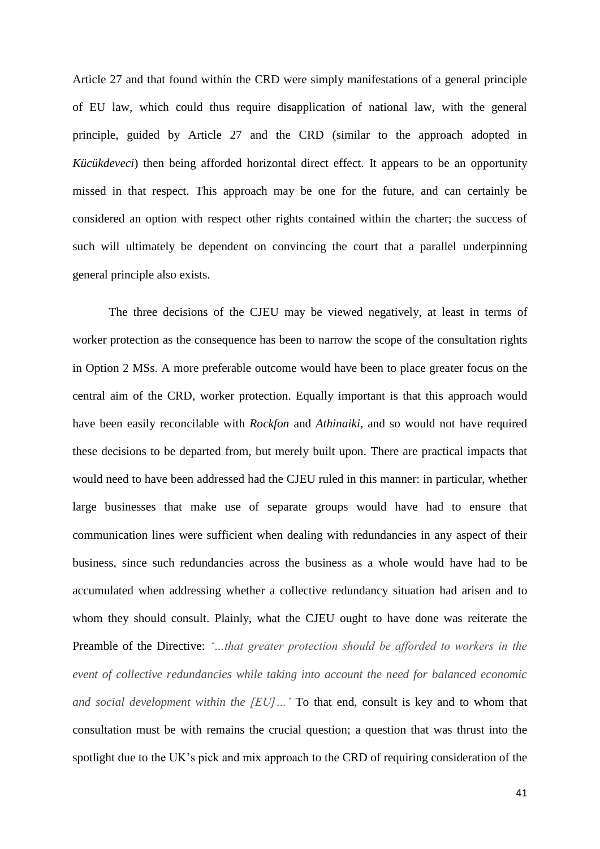Article 27 and that found within the CRD were simply manifestations of a general principle of EU law, which could thus require disapplication of national law, with the general principle, guided by Article 27 and the CRD (similar to the approach adopted in *Kücükdeveci*) then being afforded horizontal direct effect. It appears to be an opportunity missed in that respect. This approach may be one for the future, and can certainly be considered an option with respect other rights contained within the charter; the success of such will ultimately be dependent on convincing the court that a parallel underpinning general principle also exists.

The three decisions of the CJEU may be viewed negatively, at least in terms of worker protection as the consequence has been to narrow the scope of the consultation rights in Option 2 MSs. A more preferable outcome would have been to place greater focus on the central aim of the CRD, worker protection. Equally important is that this approach would have been easily reconcilable with *Rockfon* and *Athinaiki*, and so would not have required these decisions to be departed from, but merely built upon. There are practical impacts that would need to have been addressed had the CJEU ruled in this manner: in particular, whether large businesses that make use of separate groups would have had to ensure that communication lines were sufficient when dealing with redundancies in any aspect of their business, since such redundancies across the business as a whole would have had to be accumulated when addressing whether a collective redundancy situation had arisen and to whom they should consult. Plainly, what the CJEU ought to have done was reiterate the Preamble of the Directive: *'…that greater protection should be afforded to workers in the event of collective redundancies while taking into account the need for balanced economic and social development within the [EU]…'* To that end, consult is key and to whom that consultation must be with remains the crucial question; a question that was thrust into the spotlight due to the UK's pick and mix approach to the CRD of requiring consideration of the